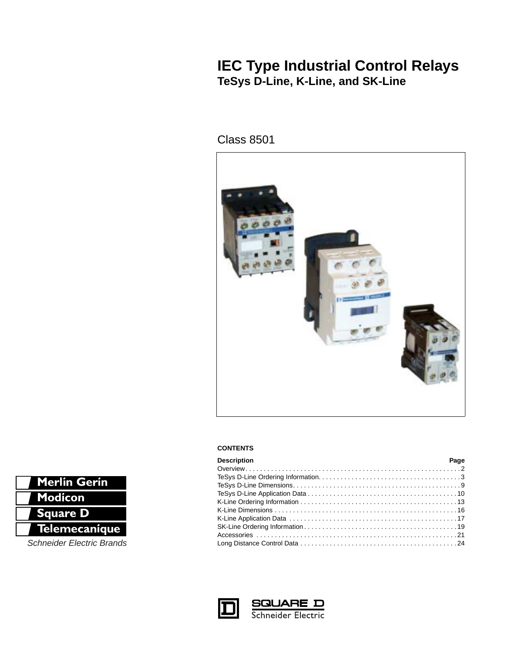# **IEC Type Industrial Control Relays TeSys D-Line, K-Line, and SK-Line**

# Class 8501



# **CONTENTS**

| <b>Description</b> | Page |
|--------------------|------|
|                    |      |
|                    |      |
|                    |      |
|                    |      |
|                    |      |
|                    |      |
|                    |      |
|                    |      |
|                    |      |
|                    |      |



**SQUARE D**<br>Schneider Electric



**Schneider Electric Brands**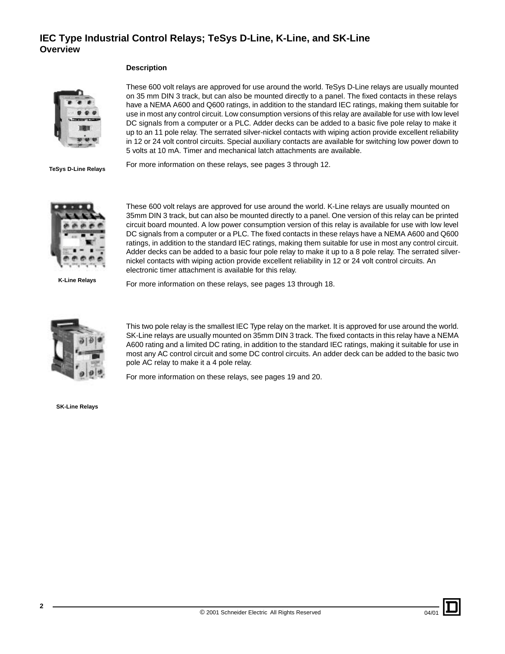# **IEC Type Industrial Control Relays; TeSys D-Line, K-Line, and SK-Line Overview**

## <span id="page-1-0"></span>**Description**



These 600 volt relays are approved for use around the world. TeSys D-Line relays are usually mounted on 35 mm DIN 3 track, but can also be mounted directly to a panel. The fixed contacts in these relays have a NEMA A600 and Q600 ratings, in addition to the standard IEC ratings, making them suitable for use in most any control circuit. Low consumption versions of this relay are available for use with low level DC signals from a computer or a PLC. Adder decks can be added to a basic five pole relay to make it up to an 11 pole relay. The serrated silver-nickel contacts with wiping action provide excellent reliability in 12 or 24 volt control circuits. Special auxiliary contacts are available for switching low power down to 5 volts at 10 mA. Timer and mechanical latch attachments are available.

**TeSys D-Line Relays**

For more information on these relays, see pages [3](#page-2-0) through [12.](#page-11-0)



These 600 volt relays are approved for use around the world. K-Line relays are usually mounted on 35mm DIN 3 track, but can also be mounted directly to a panel. One version of this relay can be printed circuit board mounted. A low power consumption version of this relay is available for use with low level DC signals from a computer or a PLC. The fixed contacts in these relays have a NEMA A600 and Q600 ratings, in addition to the standard IEC ratings, making them suitable for use in most any control circuit. Adder decks can be added to a basic four pole relay to make it up to a 8 pole relay. The serrated silvernickel contacts with wiping action provide excellent reliability in 12 or 24 volt control circuits. An electronic timer attachment is available for this relay.

**K-Line Relays**

For more information on these relays, see pages [13](#page-12-1) through [18.](#page-17-0)



This two pole relay is the smallest IEC Type relay on the market. It is approved for use around the world. SK-Line relays are usually mounted on 35mm DIN 3 track. The fixed contacts in this relay have a NEMA A600 rating and a limited DC rating, in addition to the standard IEC ratings, making it suitable for use in most any AC control circuit and some DC control circuits. An adder deck can be added to the basic two pole AC relay to make it a 4 pole relay.

For more information on these relays, see pages [19](#page-18-1) and [20](#page-19-0).

**SK-Line Relays**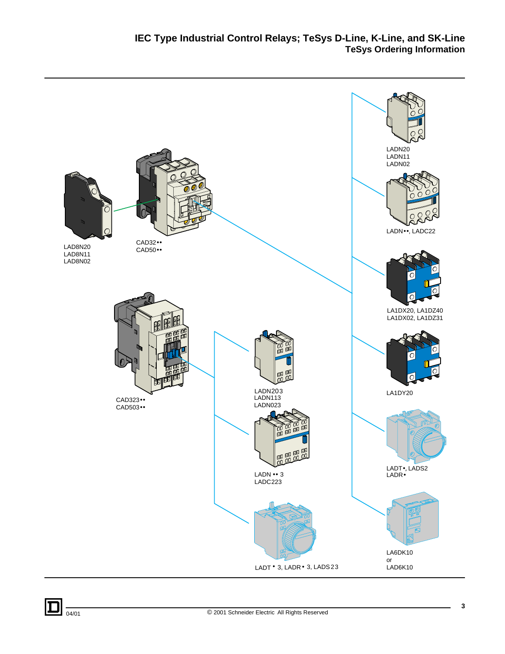<span id="page-2-0"></span>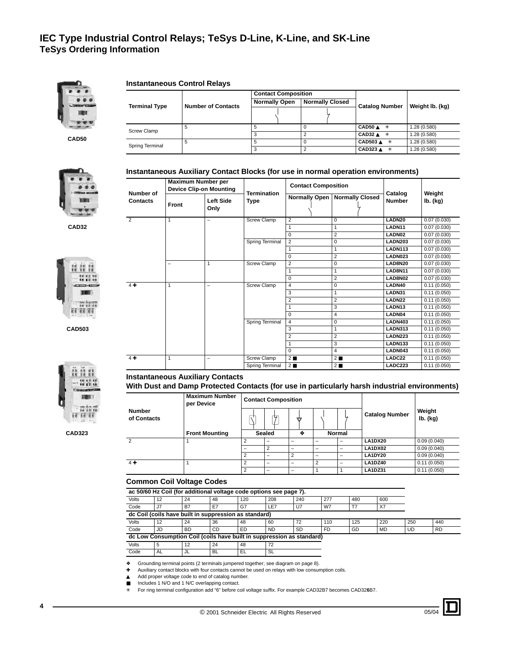

**CAD50**

### **Instantaneous Control Relays**

|                      |                           | <b>Contact Composition</b> |                        |                           |                 |  |
|----------------------|---------------------------|----------------------------|------------------------|---------------------------|-----------------|--|
| <b>Terminal Type</b> | <b>Number of Contacts</b> | <b>Normally Open</b>       | <b>Normally Closed</b> | <b>Catalog Number</b>     |                 |  |
|                      |                           |                            |                        |                           | Weight Ib. (kg) |  |
| Screw Clamp          | 5                         |                            |                        | CAD50 $\triangle$ *       | 1.28 (0.580)    |  |
|                      |                           |                            |                        | CAD32 $A$ *               | 1.28 (0.580)    |  |
| Spring Terminal      |                           |                            |                        | CAD503 ▲ *                | 1.28 (0.580)    |  |
|                      |                           |                            |                        | $CAD323$ $\triangle$<br>* | 1.28 (0.580)    |  |

**Instantaneous Auxiliary Contact Blocks (for use in normal operation environments)**



**CAD32**



**CAD503**



**CAD323**

| <b>Maximum Number per</b><br><b>Device Clip-on Mounting</b><br>Number of<br>Contacts<br>Left Side<br>Front<br>Only |   | <b>Termination</b>       | <b>Contact Composition</b> |                      | Catalog                | Weight             |                |        |             |
|--------------------------------------------------------------------------------------------------------------------|---|--------------------------|----------------------------|----------------------|------------------------|--------------------|----------------|--------|-------------|
|                                                                                                                    |   |                          | Type                       | <b>Normally Open</b> | <b>Normally Closed</b> | <b>Number</b>      | lb. (kg)       |        |             |
| $\overline{2}$                                                                                                     | 1 | -                        | <b>Screw Clamp</b>         | 2                    | $\Omega$               | LADN <sub>20</sub> | 0.07(0.030)    |        |             |
|                                                                                                                    |   |                          |                            | 1                    | 1                      | LADN11             | 0.07(0.030)    |        |             |
|                                                                                                                    |   |                          |                            | $\Omega$             | $\overline{2}$         | LADN02             | 0.07(0.030)    |        |             |
|                                                                                                                    |   |                          | Spring Terminal            | $\overline{2}$       | 0                      | <b>LADN203</b>     | 0.07(0.030)    |        |             |
|                                                                                                                    |   |                          |                            | 1                    | $\mathbf{1}$           | <b>LADN113</b>     | 0.07(0.030)    |        |             |
|                                                                                                                    |   |                          |                            | $\Omega$             | $\overline{2}$         | LADN023            | 0.07(0.030)    |        |             |
|                                                                                                                    | 1 |                          | <b>Screw Clamp</b>         | $\overline{c}$<br>0  |                        | <b>LAD8N20</b>     | 0.07(0.030)    |        |             |
|                                                                                                                    |   |                          |                            | 1                    | $\mathbf{1}$           | <b>LAD8N11</b>     | 0.07(0.030)    |        |             |
|                                                                                                                    |   |                          |                            | $\Omega$             | $\overline{2}$         | LAD8N02            | 0.07(0.030)    |        |             |
| $4 +$                                                                                                              | 1 |                          | <b>Screw Clamp</b>         | 4                    | 0                      | LADN40             | 0.11(0.050)    |        |             |
|                                                                                                                    |   |                          |                            | 3                    | 1                      | LADN31             | 0.11(0.050)    |        |             |
|                                                                                                                    |   |                          |                            |                      |                        | $\overline{2}$     | $\overline{2}$ | LADN22 | 0.11(0.050) |
|                                                                                                                    |   |                          |                            | 3<br>$\mathbf{1}$    |                        | LADN <sub>13</sub> | 0.11(0.050)    |        |             |
|                                                                                                                    |   |                          |                            | 0                    | 4                      | LADN04             | 0.11(0.050)    |        |             |
|                                                                                                                    |   |                          | Spring Terminal            | $\overline{4}$       | 0                      | <b>LADN403</b>     | 0.11(0.050)    |        |             |
|                                                                                                                    |   |                          |                            | 3                    | 1                      | <b>LADN313</b>     | 0.11(0.050)    |        |             |
|                                                                                                                    |   |                          |                            | $\overline{2}$       | $\overline{2}$         | <b>LADN223</b>     | 0.11(0.050)    |        |             |
|                                                                                                                    |   |                          |                            | 1                    | 3                      | <b>LADN133</b>     | 0.11(0.050)    |        |             |
|                                                                                                                    |   |                          |                            | $\Omega$             | $\overline{4}$         | LADN043            | 0.11(0.050)    |        |             |
| $4+$                                                                                                               | 1 | $\overline{\phantom{0}}$ | <b>Screw Clamp</b>         | $2 \blacksquare$     | $2 \blacksquare$       | LADC22             | 0.11(0.050)    |        |             |
|                                                                                                                    |   |                          | Spring Terminal            | $2 \blacksquare$     | $2 \blacksquare$       | <b>LADC223</b>     | 0.11(0.050)    |        |             |

# **Instantaneous Auxiliary Contacts**

**With Dust and Damp Protected Contacts (for use in particularly harsh industrial environments)**

|                       | <b>Maximum Number</b><br>per Device |   | <b>Contact Composition</b> |                |                |        |                       |                    |
|-----------------------|-------------------------------------|---|----------------------------|----------------|----------------|--------|-----------------------|--------------------|
| Number<br>of Contacts |                                     |   | ⋤                          | ₩              |                |        | <b>Catalog Number</b> | Weight<br>lb. (kg) |
|                       | <b>Front Mounting</b>               |   | Sealed                     | ٠              |                | Normal |                       |                    |
| $\overline{c}$        |                                     | っ | -                          | -              | -              | -      | <b>LA1DX20</b>        | 0.09(0.040)        |
|                       |                                     |   | $\overline{2}$             |                | -              |        | LA1DX02               | 0.09(0.040)        |
|                       |                                     | ◠ |                            | $\overline{2}$ | -              | -      | LA1DY20               | 0.09(0.040)        |
| $4 +$                 |                                     |   | -                          | -              | $\overline{c}$ | -      | LA1DZ40               | 0.11(0.050)        |
|                       |                                     |   |                            |                |                |        | <b>LA1DZ31</b>        | 0.11(0.050)        |

### **Common Coil Voltage Codes**

|       | ac 50/60 Hz Coil (for additional voltage code options see page 7). |                                                       |           |     |           |           |     |     |           |     |
|-------|--------------------------------------------------------------------|-------------------------------------------------------|-----------|-----|-----------|-----------|-----|-----|-----------|-----|
| Volts | 12                                                                 | 24                                                    | -48       | 120 | 208       | 240       | 277 | 480 | 600       |     |
| Code  | J7                                                                 | B7                                                    | E7        | G7  | LE7       | U7        | W7  |     | X7        |     |
|       |                                                                    | dc Coil (coils have built in suppression as standard) |           |     |           |           |     |     |           |     |
| Volts | 12                                                                 | 24                                                    | -36       | 48  | 60        | 72        | 110 | 125 | 220       | 250 |
| Code  | JD                                                                 | <b>BD</b>                                             | <b>CD</b> | ED  | <b>ND</b> | <b>SD</b> | FD  | GD  | <b>MD</b> | UD  |

**dc Low Consumption Coil (coils have built in suppression as standard)**

Volts 5 12 24 48 72

Code AL JL BL EL SL

❖ Grounding terminal points (2 terminals jumpered together; see diagram on page [8](#page-7-0)).

✚ Auxiliary contact blocks with four contacts cannot be used on relays with low consumption coils.

▲ Add proper voltage code to end of catalog number.

■ Includes 1 N/O and 1 N/C overlapping contact.

✳ For ring terminal configuration add "6" before coil voltage suffix. For example CAD32B7 becomes CAD32**6**B7.

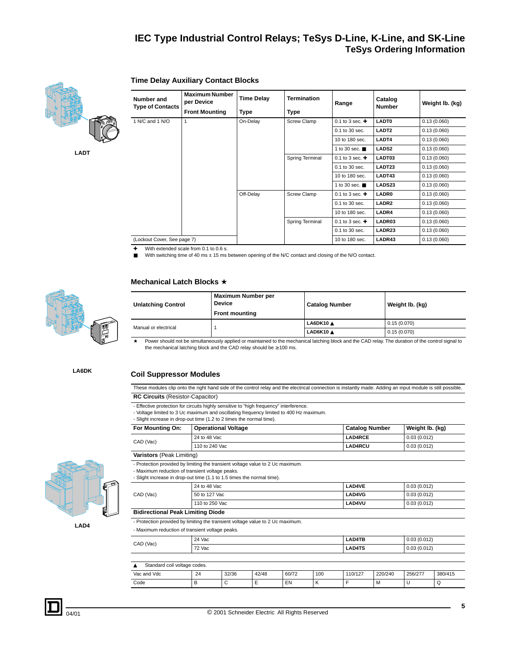

**LADT**

| Number and                  | <b>Maximum Number</b><br>per Device | <b>Time Delay</b> | <b>Termination</b>          | Range                       | Catalog<br><b>Number</b> | Weight lb. (kg) |
|-----------------------------|-------------------------------------|-------------------|-----------------------------|-----------------------------|--------------------------|-----------------|
| <b>Type of Contacts</b>     | <b>Front Mounting</b>               | Type              | <b>Type</b>                 |                             |                          |                 |
| 1 N/C and 1 N/O             | 1                                   | On-Delay          | <b>Screw Clamp</b>          | 0.1 to 3 sec. $\div$        | <b>LADT0</b>             | 0.13(0.060)     |
|                             |                                     |                   |                             | 0.1 to 30 sec.              | LADT <sub>2</sub>        | 0.13(0.060)     |
|                             |                                     |                   |                             | 10 to 180 sec.              | LADT4                    | 0.13(0.060)     |
|                             |                                     |                   | 1 to 30 sec. $\blacksquare$ | <b>LADS2</b>                | 0.13(0.060)              |                 |
|                             |                                     |                   | Spring Terminal             | 0.1 to 3 sec. $\div$        | LADT03                   | 0.13(0.060)     |
|                             |                                     |                   |                             | 0.1 to 30 sec.              | LADT23                   | 0.13(0.060)     |
|                             |                                     |                   |                             | 10 to 180 sec.              | LADT43                   | 0.13(0.060)     |
|                             |                                     |                   |                             | 1 to 30 sec. $\blacksquare$ | LADS23                   | 0.13(0.060)     |
|                             |                                     | Off-Delay         | <b>Screw Clamp</b>          | 0.1 to 3 sec. $\div$        | <b>LADR0</b>             | 0.13(0.060)     |
|                             |                                     |                   |                             | 0.1 to 30 sec.              | LADR <sub>2</sub>        | 0.13(0.060)     |
|                             |                                     |                   |                             | 10 to 180 sec.              | LADR4                    | 0.13(0.060)     |
|                             |                                     |                   | Spring Terminal             | 0.1 to 3 sec. $\div$        | LADR03                   | 0.13(0.060)     |
|                             |                                     |                   |                             | 0.1 to 30 sec.              | LADR23                   | 0.13(0.060)     |
| (Lockout Cover, See page 7) |                                     |                   |                             | 10 to 180 sec.              | LADR43                   | 0.13(0.060)     |

 $★$  With extended scale from 0.1 to 0.6 s.<br>■ With switching time of 40 ms  $± 15$  ms

**Time Delay Auxiliary Contact Blocks**

With switching time of 40 ms  $\pm$  15 ms between opening of the N/C contact and closing of the N/O contact.

### **Mechanical Latch Blocks** ★



| <b>Unlatching Control</b> | Maximum Number per<br><b>Device</b><br><b>Front mounting</b> | <b>Catalog Number</b> | Weight Ib. (kg) |
|---------------------------|--------------------------------------------------------------|-----------------------|-----------------|
| Manual or electrical      |                                                              | LA6DK10 $\triangle$   | 0.15(0.070)     |
|                           |                                                              | LAD6K10 A             | 0.15(0.070)     |

Power should not be simultaneously applied or maintained to the mechanical latching block and the CAD relay. The duration of the control signal to the mechanical latching block and the CAD relay should be ≥ 100 ms.

**LA6DK**

## **Coil Suppressor Modules**

These modules clip onto the right hand side of the control relay and the electrical connection is instantly made. Adding an input module is still possible. **RC Circuits** (Resistor-Capacitor)

- Effective protection for circuits highly sensitive to "high frequency" interference.
- Voltage limited to 3 Uc maximum and oscillating frequency limited to 400 Hz maximum.

- Slight increase in drop-out time (1.2 to 2 times the normal time).

|                           | - Under increase in drup-out time (i.e. to 2 times the normal time).           |                       |                 |
|---------------------------|--------------------------------------------------------------------------------|-----------------------|-----------------|
| For Mounting On:          | <b>Operational Voltage</b>                                                     | <b>Catalog Number</b> | Weight Ib. (kg) |
| CAD (Vac)                 | 24 to 48 Vac                                                                   | <b>LAD4RCE</b>        | 0.03(0.012)     |
|                           | 110 to 240 Vac                                                                 | <b>LAD4RCU</b>        | 0.03(0.012)     |
| Varistors (Peak Limiting) |                                                                                |                       |                 |
|                           | - Protection provided by limiting the transient voltage value to 2 Uc maximum. |                       |                 |

- Maximum reduction of transient voltage peaks.

- Slight increase in drop-out time (1.1 to 1.5 times the normal time).

| CAD (Vac) | 24 to 48 Vac   | LAD4VE        | 0.03(0.012) |
|-----------|----------------|---------------|-------------|
|           | 50 to 127 Vac  | LAD4VG        | 0.03(0.012) |
|           | 110 to 250 Vac | <b>LAD4VU</b> | 0.03(0.012) |

### **Bidirectional Peak Limiting Diode**

- Protection provided by limiting the transient voltage value to 2 Uc maximum.

- Maximum reduction of transient voltage peaks.

| CAD (Vac) | 24 Vac | <b>LAD4TB</b> | 0.03(0.012) |
|-----------|--------|---------------|-------------|
|           | 72 Vac | <b>LAD4TS</b> | 0.03(0.012) |
|           |        |               |             |

| Standard coil voltage codes. |    |       |       |       |     |         |         |         |         |  |
|------------------------------|----|-------|-------|-------|-----|---------|---------|---------|---------|--|
| Vac and Vdc                  | 24 | 32/36 | 42/48 | 60/72 | 100 | 110/127 | 220/240 | 256/277 | 380/415 |  |
| Code                         | в  |       | ∸     | EN    |     |         | .W      | ◡       | w       |  |



**LAD4**



**5**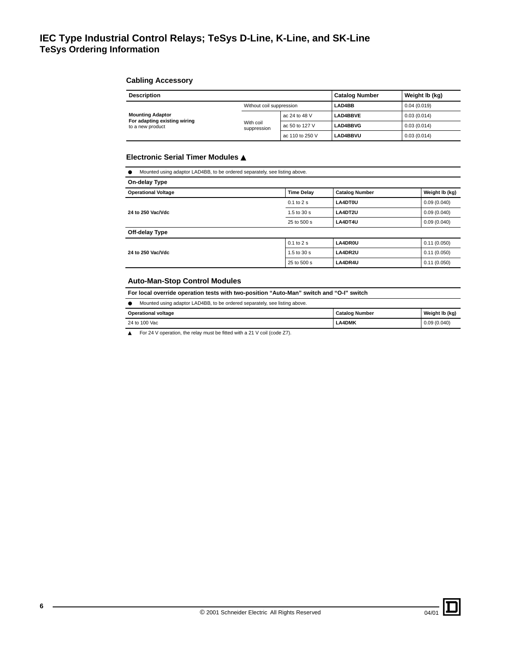### **Cabling Accessory**

| <b>Description</b>                                                          | <b>Catalog Number</b>    | Weight Ib (kg)  |                 |             |
|-----------------------------------------------------------------------------|--------------------------|-----------------|-----------------|-------------|
|                                                                             | Without coil suppression |                 | <b>LAD4BB</b>   | 0.04(0.019) |
| <b>Mounting Adaptor</b><br>For adapting existing wiring<br>to a new product |                          | ac 24 to 48 V   | <b>LAD4BBVE</b> | 0.03(0.014) |
|                                                                             | With coil<br>suppression | ac 50 to 127 V  | <b>LAD4BBVG</b> | 0.03(0.014) |
|                                                                             |                          | ac 110 to 250 V | <b>LAD4BBVU</b> | 0.03(0.014) |

## **Electronic Serial Timer Modules** ▲

| Mounted using adaptor LAD4BB, to be ordered separately, see listing above.<br>$\bullet$ |                   |                       |                |  |  |  |  |
|-----------------------------------------------------------------------------------------|-------------------|-----------------------|----------------|--|--|--|--|
| On-delay Type                                                                           |                   |                       |                |  |  |  |  |
| <b>Operational Voltage</b>                                                              | <b>Time Delay</b> | <b>Catalog Number</b> | Weight Ib (kg) |  |  |  |  |
|                                                                                         | $0.1$ to $2s$     | LA4DT0U               | 0.09(0.040)    |  |  |  |  |
| 24 to 250 Vac/Vdc                                                                       | 1.5 to 30 s       | LA4DT2U               | 0.09(0.040)    |  |  |  |  |
|                                                                                         | 25 to 500 s       | LA4DT4U               | 0.09(0.040)    |  |  |  |  |
| Off-delay Type                                                                          |                   |                       |                |  |  |  |  |
|                                                                                         | $0.1$ to $2$ s    | LA4DR0U               | 0.11(0.050)    |  |  |  |  |
| 24 to 250 Vac/Vdc                                                                       | 1.5 to 30 s       | LA4DR2U               | 0.11(0.050)    |  |  |  |  |
|                                                                                         | 25 to 500 s       | LA4DR4U               | 0.11(0.050)    |  |  |  |  |

## **Auto-Man-Stop Control Modules**

**For local override operation tests with two-position "Auto-Man" switch and "O-I" switch**

● Mounted using adaptor LAD4BB, to be ordered separately, see listing above.

| <b>Operational voltage</b> | <b>Catalog Number</b> | Weight Ib (kg) |
|----------------------------|-----------------------|----------------|
| 24 to 100 Vac              | <b>LA4DMK</b>         | 0.09(0.040)    |

▲ For 24 V operation, the relay must be fitted with a 21 V coil (code Z7).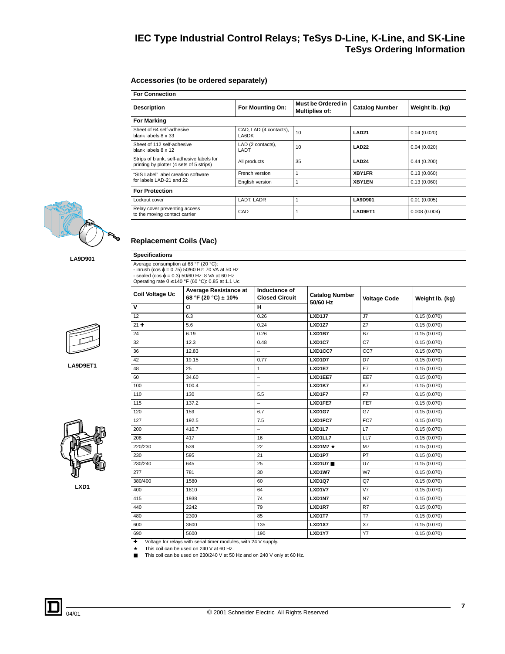### <span id="page-6-0"></span>**Accessories (to be ordered separately)**

| <b>For Connection</b>                                                                 |                                 |                                      |                       |                 |  |  |  |  |  |
|---------------------------------------------------------------------------------------|---------------------------------|--------------------------------------|-----------------------|-----------------|--|--|--|--|--|
| <b>Description</b>                                                                    | For Mounting On:                | Must be Ordered in<br>Multiplies of: | <b>Catalog Number</b> | Weight Ib. (kg) |  |  |  |  |  |
| <b>For Marking</b>                                                                    |                                 |                                      |                       |                 |  |  |  |  |  |
| Sheet of 64 self-adhesive<br>blank labels 8 x 33                                      | CAD, LAD (4 contacts),<br>LA6DK | 10                                   | <b>LAD21</b>          | 0.04(0.020)     |  |  |  |  |  |
| Sheet of 112 self-adhesive<br>blank labels 8 x 12                                     | LAD (2 contacts),<br>LADT       | 10                                   | LAD <sub>22</sub>     | 0.04(0.020)     |  |  |  |  |  |
| Strips of blank, self-adhesive labels for<br>printing by plotter (4 sets of 5 strips) | All products                    | 35                                   | LAD <sub>24</sub>     | 0.44(0.200)     |  |  |  |  |  |
| "SIS Label" label creation software                                                   | French version                  |                                      | XBY1FR                | 0.13(0.060)     |  |  |  |  |  |
| for labels LAD-21 and 22                                                              | English version                 |                                      | XBY1EN                | 0.13(0.060)     |  |  |  |  |  |
| <b>For Protection</b>                                                                 |                                 |                                      |                       |                 |  |  |  |  |  |
| Lockout cover                                                                         | LADT, LADR                      |                                      | <b>LA9D901</b>        | 0.01(0.005)     |  |  |  |  |  |
| Relay cover preventing access<br>to the moving contact carrier                        | CAD                             |                                      | LAD9ET1               | 0.008(0.004)    |  |  |  |  |  |



**LA9D901**

Average consumption at 68 °F (20 °C):<br>- inrush (cos φ = 0.75) 50/60 Hz: 70 VA at 50 Hz<br>- sealed (cos φ = 0.3) 50/60 Hz: 8 VA at 60 Hz<br>Operating rate θ ≤ 140 °F (60 °C): 0.85 at 1.1 Uc

<span id="page-6-1"></span>**Replacement Coils (Vac)**

**Specifications**

|          | 12     |
|----------|--------|
|          | $21 +$ |
|          | 24     |
|          | 32     |
|          | 36     |
|          | 42     |
| LA9D9ET1 | 48     |



**LXD1**

| Coil Voltage Uc  | <b>Average Resistance at</b><br>68 °F (20 °C) ± 10% | Inductance of<br><b>Closed Circuit</b> | <b>Catalog Number</b><br>50/60 Hz | <b>Voltage Code</b> | Weight Ib. (kg) |
|------------------|-----------------------------------------------------|----------------------------------------|-----------------------------------|---------------------|-----------------|
| V                | Ω                                                   | н                                      |                                   |                     |                 |
| 12 <sup>12</sup> | 6.3                                                 | 0.26                                   | LXD1J7                            | J7                  | 0.15(0.070)     |
| $21 +$           | 5.6                                                 | 0.24                                   | LXD1Z7                            | Z7                  | 0.15(0.070)     |
| 24               | 6.19                                                | 0.26                                   | LXD1B7                            | <b>B7</b>           | 0.15(0.070)     |
| 32               | 12.3                                                | 0.48                                   | LXD1C7                            | C7                  | 0.15(0.070)     |
| 36               | 12.83                                               | $\equiv$                               | LXD1CC7                           | CC7                 | 0.15(0.070)     |
| 42               | 19.15                                               | 0.77                                   | LXD1D7                            | D7                  | 0.15(0.070)     |
| 48               | 25                                                  | $\mathbf{1}$                           | LXD1E7                            | E7                  | 0.15(0.070)     |
| 60               | 34.60                                               | $\overline{\phantom{0}}$               | LXD1EE7                           | EE7                 | 0.15(0.070)     |
| 100              | 100.4                                               | $\overline{\phantom{0}}$               | LXD1K7                            | K7                  | 0.15(0.070)     |
| 110              | 130                                                 | 5.5                                    | LXD1F7                            | F7                  | 0.15(0.070)     |
| 115              | 137.2                                               | $\qquad \qquad -$                      | LXD1FE7                           | FE7                 | 0.15(0.070)     |
| 120              | 159                                                 | 6.7                                    | <b>LXD1G7</b>                     | G7                  | 0.15(0.070)     |
| 127              | 192.5                                               | 7.5                                    | LXD1FC7                           | FC7                 | 0.15(0.070)     |
| 200              | 410.7                                               | $\overline{\phantom{0}}$               | LXD1L7                            | L7                  | 0.15(0.070)     |
| 208              | 417                                                 | 16                                     | LXD1LL7                           | LL7                 | 0.15(0.070)     |
| 220/230          | 539                                                 | 22                                     | LXD1M7 $\star$                    | M7                  | 0.15(0.070)     |
| 230              | 595                                                 | 21                                     | LXD1P7                            | <b>P7</b>           | 0.15(0.070)     |
| 230/240          | 645                                                 | 25                                     | LXD1U7                            | U7                  | 0.15(0.070)     |
| 277              | 781                                                 | 30                                     | LXD1W7                            | W7                  | 0.15(0.070)     |
| 380/400          | 1580                                                | 60                                     | <b>LXD1Q7</b>                     | Q7                  | 0.15(0.070)     |
| 400              | 1810                                                | 64                                     | <b>LXD1V7</b>                     | V <sub>7</sub>      | 0.15(0.070)     |
| 415              | 1938                                                | 74                                     | LXD1N7                            | <b>N7</b>           | 0.15(0.070)     |
| 440              | 2242                                                | 79                                     | LXD1R7                            | R7                  | 0.15(0.070)     |
| 480              | 2300                                                | 85                                     | LXD1T7                            | T7                  | 0.15(0.070)     |
| 600              | 3600                                                | 135                                    | LXD1X7                            | X7                  | 0.15(0.070)     |
| 690              | 5600                                                | 190                                    | LXD1Y7                            | <b>Y7</b>           | 0.15(0.070)     |
|                  |                                                     |                                        |                                   |                     |                 |

✚ Voltage for relays with serial timer modules, with 24 V supply. ★ This coil can be used on 240 V at 60 Hz.

■ This coil can be used on 230/240 V at 50 Hz and on 240 V only at 60 Hz.

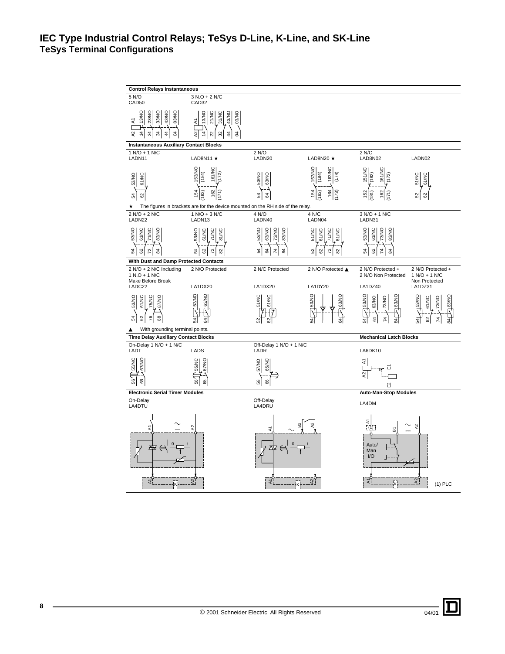<span id="page-7-0"></span>

| <b>Control Relays Instantaneous</b>                                                          |                                                                                                                                          |                                                        |                                                                   |                                                                             |                                                                |
|----------------------------------------------------------------------------------------------|------------------------------------------------------------------------------------------------------------------------------------------|--------------------------------------------------------|-------------------------------------------------------------------|-----------------------------------------------------------------------------|----------------------------------------------------------------|
|                                                                                              |                                                                                                                                          |                                                        |                                                                   |                                                                             |                                                                |
| 5 N/O<br>CAD50                                                                               | 3 N.O + 2 N/C<br>CAD32                                                                                                                   |                                                        |                                                                   |                                                                             |                                                                |
| 33/NO<br>43/NO<br>13/NO<br>23/NO<br>OS/NO<br>₹<br>A2<br>$\overline{4}$<br>24<br>34<br>4<br>3 | 43/NO<br>13/NO<br>21/NC<br>31/NC<br>D3/NO<br>ξ<br>$\overline{4}$<br>S,<br>22<br>$\frac{4}{3}$<br>$\frac{2}{3}$<br>3                      |                                                        |                                                                   |                                                                             |                                                                |
| <b>Instantaneous Auxiliary Contact Blocks</b>                                                |                                                                                                                                          |                                                        |                                                                   |                                                                             |                                                                |
| 1 N/O + 1 N/C<br>LADN11                                                                      | LAD8N11 $\star$                                                                                                                          | 2 N/O<br>LADN20                                        | LAD8N20 $\star$                                                   | 2 N/C<br>LAD8N02                                                            | LADN02                                                         |
| 53/NO<br>61/NC<br>8<br>24<br>★                                                               | 53/NO<br>161/NC<br>(184)<br>162<br>154<br>(83)<br>71:<br>The figures in brackets are for the device mounted on the RH side of the relay. | ON/89<br>63/NO<br>54<br>3                              | 153/NO<br>163/NC<br>(184)<br>(174)<br>164<br>154<br>(83)<br>(173) | 151/NC<br>161/NC<br>(182)<br>$\mathbb{S}^2$<br>$\frac{62}{5}$<br>181)<br>۲í | <b>S1/NC</b><br>G1/NC<br>ଌା<br>62                              |
| 2 N/O + 2 N/C                                                                                | 1 N/O + 3 N/C                                                                                                                            | 4 N/O                                                  | 4 N/C                                                             | 3 N/O + 1 N/C                                                               |                                                                |
| LADN22                                                                                       | LADN13                                                                                                                                   | LADN40                                                 | LADN04                                                            | LADN31                                                                      |                                                                |
| 53/NO<br>61/NC<br>83/NO<br><b>SNVL2</b><br>54<br>2s                                          | 53/NO<br>61/NC<br>71/NC<br>81/NC<br>24<br>8                                                                                              | 53/NO<br>63/NO<br>73/NO<br>83/NO<br>54<br>24<br>3<br>₹ | 51/NC<br>61/NC<br>71/NC<br>81/NC<br>S <sub>2</sub><br>29          | 53/NO<br>61/NC<br><b>DN/EZ</b><br>83/NO<br>54<br>82<br>24<br>≵              |                                                                |
| With Dust and Damp Protected Contacts                                                        |                                                                                                                                          |                                                        |                                                                   |                                                                             |                                                                |
| 2 N/O + 2 N/C Including<br>$1 N.O + 1 N/C$<br>Make Before Break<br>LADC22                    | 2 N/O Protected<br>LA1DX20                                                                                                               | 2 N/C Protected<br>LA1DX20                             | 2 N/O Protected ▲<br>LA1DY20                                      | 2 N/O Protected +<br>2 N/O Non Protected<br>LA1DZ40                         | 2 N/O Protected +<br>1 N/O + 1 N/C<br>Non Protected<br>LA1DZ31 |
| 53/NO<br>61/NC<br>87/NO<br>75/NC<br>76<br>88<br>54<br>62                                     | 53/NO<br>63/NO<br>ਨ਼                                                                                                                     | 51/NC<br>61/NC                                         | 153/NO<br>63/NO                                                   | <b>S3/NO</b><br><b>B3/NO</b><br>63/NO<br>73/NO<br>3                         | 53/NO<br>83/NC<br>61/NC<br>73/NO<br>ž                          |
| With grounding terminal points.<br>▲                                                         |                                                                                                                                          |                                                        |                                                                   |                                                                             |                                                                |
| <b>Time Delay Auxiliary Contact Blocks</b>                                                   |                                                                                                                                          |                                                        |                                                                   | <b>Mechanical Latch Blocks</b>                                              |                                                                |
| On-Delay 1 N/O + 1 N/C<br>LADT                                                               | LADS                                                                                                                                     | Off-Delay 1 N/O + 1 N/C<br>LADR                        |                                                                   | LA6DK10                                                                     |                                                                |
| 55/NC<br>67/NO<br>ಜಿ<br>8                                                                    | 55/NC<br>67/NO<br>8<br>89                                                                                                                | 57/NO<br>65/NC<br>66<br>58                             |                                                                   | £<br>₽                                                                      |                                                                |
| <b>Electronic Serial Timer Modules</b>                                                       |                                                                                                                                          |                                                        |                                                                   | <b>Auto-Man-Stop Modules</b>                                                |                                                                |
| On-Delay<br>LA4DTU                                                                           |                                                                                                                                          | Off-Delay<br>LA4DRU                                    |                                                                   | LA4DM                                                                       |                                                                |
| ₹                                                                                            | 2                                                                                                                                        |                                                        |                                                                   | 2<br>$\sqrt{(1)}$<br>ៜ<br>Auto/<br>Man<br>I/O                               | 2                                                              |
| হা                                                                                           | ଧା                                                                                                                                       | ২                                                      | A <sub>2</sub>                                                    | হ∣                                                                          | 2.<br>$(1)$ PLC                                                |

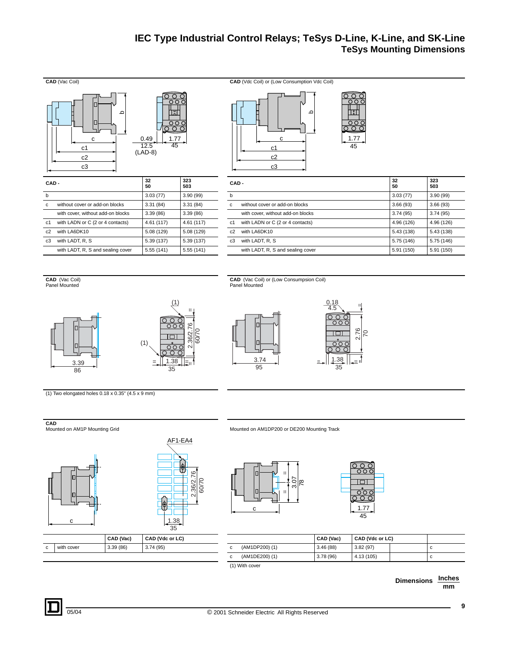# <span id="page-8-0"></span>**IEC Type Industrial Control Relays; TeSys D-Line, K-Line, and SK-Line TeSys Mounting Dimensions**



**CAD** (Vac Coil) Panel Mounted





**CAD** (Vac Coil) or (Low Consumpsion Coil) Panel Mounted



(1) Two elongated holes 0.18 x 0.35" (4.5 x 9 mm)



3.39



Mounted on AM1DP200 or DE200 Mounting Track





|            | CAD (Vac) | CAD (Vdc or LC) |                | CAD (Vac) | CAD (Vdc or LC) |  |
|------------|-----------|-----------------|----------------|-----------|-----------------|--|
| with cover | 3.39(86)  | 3.74(95)        | (AM1DP200) (1) | 3.46(88)  | 3.82(97)        |  |
|            |           |                 | (AM1DE200) (1) | 3.78(96)  | 4.13 (105)      |  |

(1) With cover

**Inches mm Dimensions**

**9**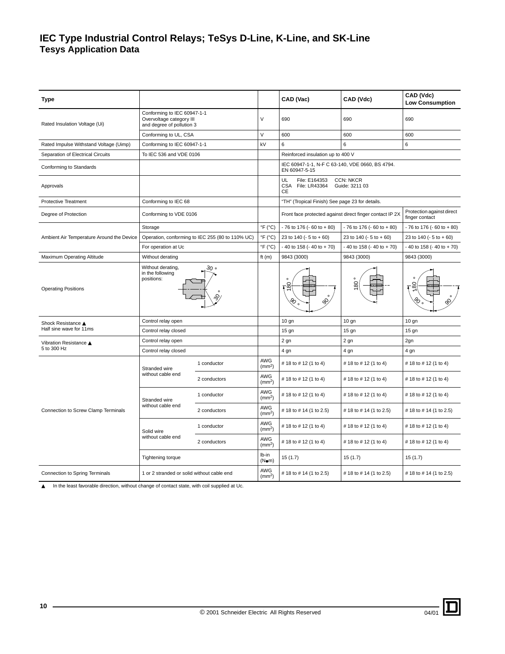# **IEC Type Industrial Control Relays; TeSys D-Line, K-Line, and SK-Line Tesys Application Data**

<span id="page-9-0"></span>

| <b>Type</b>                               |                                                                                      |                                                  |                                 | CAD (Vac)                                                        | CAD (Vdc)                                                | CAD (Vdc)<br><b>Low Consumption</b>         |
|-------------------------------------------|--------------------------------------------------------------------------------------|--------------------------------------------------|---------------------------------|------------------------------------------------------------------|----------------------------------------------------------|---------------------------------------------|
| Rated Insulation Voltage (Ui)             | Conforming to IEC 60947-1-1<br>Overvoltage category III<br>and degree of pollution 3 |                                                  | $\vee$                          | 690                                                              | 690                                                      | 690                                         |
|                                           | Conforming to UL, CSA                                                                |                                                  | $\vee$                          | 600                                                              | 600                                                      | 600                                         |
| Rated Impulse Withstand Voltage (Uimp)    | Conforming to IEC 60947-1-1                                                          |                                                  | kV                              | 6                                                                | 6                                                        | 6                                           |
| Separation of Electrical Circuits         | To IEC 536 and VDE 0106                                                              |                                                  |                                 | Reinforced insulation up to 400 V                                |                                                          |                                             |
| Conforming to Standards                   |                                                                                      |                                                  |                                 | IEC 60947-1-1, N-F C 63-140, VDE 0660, BS 4794.<br>EN 60947-5-15 |                                                          |                                             |
| Approvals                                 |                                                                                      |                                                  |                                 | UL<br>File: E164353<br>CSA<br>File: LR43364<br>CE                | <b>CCN: NKCR</b><br>Guide: 3211 03                       |                                             |
| <b>Protective Treatment</b>               | Conforming to IEC 68                                                                 |                                                  |                                 | "TH" (Tropical Finish) See page 23 for details.                  |                                                          |                                             |
| Degree of Protection                      | Conforming to VDE 0106                                                               |                                                  |                                 |                                                                  | Front face protected against direct finger contact IP 2X | Protection against direct<br>finger contact |
|                                           | Storage                                                                              |                                                  | $\mathrm{P}F$ ( $\mathrm{C}$ C) | $-76$ to 176 ( $-60$ to $+80$ )                                  | $-76$ to 176 ( $-60$ to $+80$ )                          | $-76$ to 176 ( $-60$ to $+80$ )             |
| Ambient Air Temperature Around the Device |                                                                                      | Operation, conforming to IEC 255 (80 to 110% UC) | $\mathrm{P}F$ ( $\mathrm{C}$ C) | 23 to 140 ( $-5$ to $+60$ )                                      | 23 to 140 (- 5 to + 60)                                  | 23 to 140 ( $-5$ to $+60$ )                 |
|                                           | For operation at Uc                                                                  |                                                  | $\mathrm{P}F(\mathrm{C})$       | $-40$ to 158 ( $-40$ to $+70$ )                                  | $-40$ to 158 ( $-40$ to $+70$ )                          |                                             |
| <b>Maximum Operating Altitude</b>         | Without derating                                                                     |                                                  | ft $(m)$                        | 9843 (3000)                                                      | 9843 (3000)                                              | 9843 (3000)                                 |
| <b>Operating Positions</b>                | ە 30                                                                                 |                                                  | $\frac{1}{2}$<br>S,             | 80                                                               | 180                                                      |                                             |
| Shock Resistance ▲                        | Control relay open                                                                   |                                                  |                                 | 10 <sub>g</sub>                                                  | $10$ gn                                                  | $10$ gn                                     |
| Half sine wave for 11ms                   | Control relay closed                                                                 |                                                  |                                 | $15$ gn                                                          | $15$ gn                                                  | $15$ gn                                     |
| Vibration Resistance ▲                    | Control relay open                                                                   |                                                  |                                 | 2 gn                                                             | 2 gn                                                     | 2gn                                         |
| 5 to 300 Hz                               | Control relay closed                                                                 |                                                  |                                 | 4 gn                                                             | 4 gn                                                     | 4 gn                                        |
|                                           | Stranded wire                                                                        | 1 conductor                                      | AWG<br>(mm <sup>2</sup> )       | # 18 to # 12 (1 to 4)                                            | # 18 to # 12 (1 to 4)                                    | # 18 to # 12 (1 to 4)                       |
|                                           | without cable end                                                                    | 2 conductors                                     | AWG<br>(mm <sup>2</sup> )       | # 18 to # 12 (1 to 4)                                            | # 18 to # 12 (1 to 4)                                    | # 18 to # 12 (1 to 4)                       |
|                                           | Stranded wire                                                                        | 1 conductor                                      | AWG<br>(mm <sup>2</sup> )       | # 18 to # 12 (1 to 4)                                            | # 18 to # 12 (1 to 4)                                    | # 18 to # 12 (1 to 4)                       |
| Connection to Screw Clamp Terminals       | without cable end                                                                    | 2 conductors                                     | AWG<br>(mm <sup>2</sup> )       | # 18 to # 14 (1 to 2.5)                                          | # 18 to # 14 (1 to 2.5)                                  | # 18 to # 14 (1 to 2.5)                     |
|                                           | Solid wire                                                                           | 1 conductor                                      | AWG<br>(mm <sup>2</sup> )       | # 18 to # 12 (1 to 4)                                            | # 18 to # 12 (1 to 4)                                    | #18 to #12 (1 to 4)                         |
|                                           | without cable end                                                                    | 2 conductors                                     | AWG<br>(mm <sup>2</sup> )       | # 18 to # 12 (1 to 4)                                            | # 18 to # 12 (1 to 4)                                    | #18 to #12 (1 to 4)                         |
|                                           | <b>Tightening torque</b>                                                             |                                                  | lb-in<br>(Nem)                  | 15(1.7)                                                          | 15(1.7)                                                  | 15(1.7)                                     |
| Connection to Spring Terminals            | 1 or 2 stranded or solid without cable end                                           |                                                  | AWG<br>(mm <sup>2</sup> )       | # 18 to # 14 (1 to 2.5)                                          | # 18 to # 14 (1 to 2.5)                                  | # 18 to # 14 (1 to 2.5)                     |

▲ In the least favorable direction, without change of contact state, with coil supplied at Uc.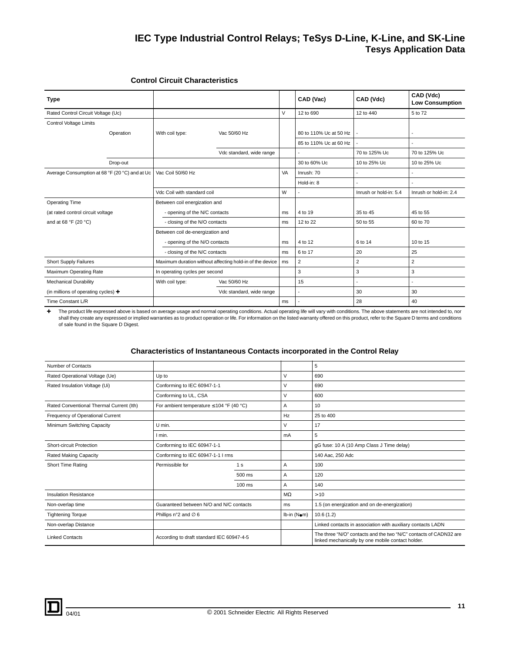# **IEC Type Industrial Control Relays; TeSys D-Line, K-Line, and SK-Line Tesys Application Data**

### **Control Circuit Characteristics**

| Type                                                    |           |                                  |                                                          |    | CAD (Vac)              | CAD (Vdc)              | CAD (Vdc)<br><b>Low Consumption</b> |
|---------------------------------------------------------|-----------|----------------------------------|----------------------------------------------------------|----|------------------------|------------------------|-------------------------------------|
| Rated Control Circuit Voltage (Uc)                      |           |                                  |                                                          | V  | 12 to 690              | 12 to 440              | 5 to 72                             |
| Control Voltage Limits                                  |           |                                  |                                                          |    |                        |                        |                                     |
|                                                         | Operation | With coil type:                  | Vac 50/60 Hz                                             |    | 80 to 110% Uc at 50 Hz |                        |                                     |
|                                                         |           |                                  |                                                          |    | 85 to 110% Uc at 60 Hz |                        |                                     |
|                                                         |           |                                  | Vdc standard, wide range                                 |    | $\sim$                 | 70 to 125% Uc          | 70 to 125% Uc                       |
|                                                         | Drop-out  |                                  |                                                          |    | 30 to 60% Uc           | 10 to 25% Uc           | 10 to 25% Uc                        |
| Average Consumption at 68 °F (20 °C) and at Uc          |           | Vac Coil 50/60 Hz                |                                                          | VA | Inrush: 70             |                        |                                     |
|                                                         |           |                                  |                                                          |    | Hold-in: 8             |                        |                                     |
|                                                         |           | Vdc Coil with standard coil      |                                                          |    |                        | Inrush or hold-in: 5.4 | Inrush or hold-in: 2.4              |
| <b>Operating Time</b>                                   |           | Between coil energization and    |                                                          |    |                        |                        |                                     |
| (at rated control circuit voltage                       |           | - opening of the N/C contacts    |                                                          | ms | 4 to 19                | 35 to 45               | 45 to 55                            |
| and at 68 °F (20 °C)                                    |           | - closing of the N/O contacts    |                                                          | ms | 12 to 22               | 50 to 55               | 60 to 70                            |
|                                                         |           | Between coil de-energization and |                                                          |    |                        |                        |                                     |
|                                                         |           | - opening of the N/O contacts    |                                                          | ms | 4 to 12                | 6 to 14                | 10 to 15                            |
|                                                         |           | - closing of the N/C contacts    |                                                          | ms | 6 to 17                | 20                     | 25                                  |
| Short Supply Failures                                   |           |                                  | Maximum duration without affecting hold-in of the device | ms | $\overline{2}$         | $\overline{2}$         | 2                                   |
| Maximum Operating Rate                                  |           |                                  | In operating cycles per second                           |    | 3                      | 3                      | 3                                   |
| <b>Mechanical Durability</b>                            |           | With coil type:                  | Vac 50/60 Hz                                             |    | 15                     |                        |                                     |
| (in millions of operating cycles) $\blacktriangleright$ |           |                                  | Vdc standard, wide range                                 |    | $\overline{a}$         | 30                     | 30                                  |
| Time Constant L/R                                       |           |                                  |                                                          | ms |                        | 28                     | 40                                  |

✚ The product life expressed above is based on average usage and normal operating conditions. Actual operating life will vary with conditions. The above statements are not intended to, nor shall they create any expressed or implied warranties as to product operation or life. For information on the listed warranty offered on this product, refer to the Square D terms and conditions of sale found in the Square D Digest.

### **Characteristics of Instantaneous Contacts incorporated in the Control Relay**

| Number of Contacts                       |                                               |                |                | 5                                                                                                                      |
|------------------------------------------|-----------------------------------------------|----------------|----------------|------------------------------------------------------------------------------------------------------------------------|
| Rated Operational Voltage (Ue)           | Up to                                         |                | V              | 690                                                                                                                    |
| Rated Insulation Voltage (Ui)            | Conforming to IEC 60947-1-1                   |                | v              | 690                                                                                                                    |
|                                          | Conforming to UL, CSA                         |                | v              | 600                                                                                                                    |
| Rated Conventional Thermal Current (Ith) | For ambient temperature $\leq$ 104 °F (40 °C) |                | A              | 10                                                                                                                     |
| Frequency of Operational Current         |                                               |                | Hz             | 25 to 400                                                                                                              |
| Minimum Switching Capacity               | U min.                                        |                | v              | 17                                                                                                                     |
|                                          | I min.                                        |                | mA             | 5                                                                                                                      |
| <b>Short-circuit Protection</b>          | Conforming to IEC 60947-1-1                   |                |                | gG fuse: 10 A (10 Amp Class J Time delay)                                                                              |
| <b>Rated Making Capacity</b>             | Conforming to IEC 60947-1-1 I rms             |                |                | 140 Aac, 250 Adc                                                                                                       |
| <b>Short Time Rating</b>                 | Permissible for                               | 1 <sub>s</sub> | $\overline{A}$ | 100                                                                                                                    |
|                                          |                                               | 500 ms         | A              | 120                                                                                                                    |
|                                          |                                               | $100$ ms       | $\overline{A}$ | 140                                                                                                                    |
| <b>Insulation Resistance</b>             |                                               |                | $M\Omega$      | >10                                                                                                                    |
| Non-overlap time                         | Guaranteed between N/O and N/C contacts       |                | ms             | 1.5 (on energization and on de-energization)                                                                           |
| <b>Tightening Torque</b>                 | Phillips n°2 and $\varnothing$ 6              |                | Ib-in (Nom)    | 10.6(1.2)                                                                                                              |
| Non-overlap Distance                     |                                               |                |                | Linked contacts in association with auxiliary contacts LADN                                                            |
| <b>Linked Contacts</b>                   | According to draft standard IEC 60947-4-5     |                |                | The three "N/O" contacts and the two "N/C" contacts of CADN32 are<br>linked mechanically by one mobile contact holder. |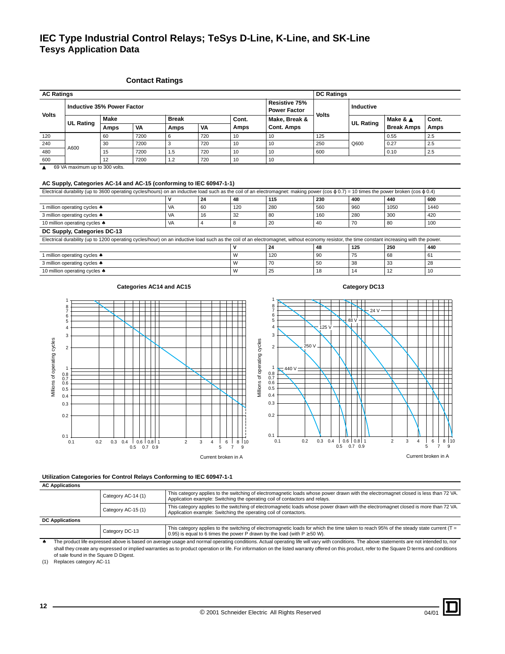# **IEC Type Industrial Control Relays; TeSys D-Line, K-Line, and SK-Line Tesys Application Data**

### <span id="page-11-0"></span>**Contact Ratings**

| <b>AC Ratings</b> |                  |                            |      |              |     |       |                                      | <b>DC Ratings</b> |                  |                   |       |
|-------------------|------------------|----------------------------|------|--------------|-----|-------|--------------------------------------|-------------------|------------------|-------------------|-------|
| <b>Volts</b>      |                  | Inductive 35% Power Factor |      |              |     |       | Resistive 75%<br><b>Power Factor</b> | <b>Volts</b>      | Inductive        |                   |       |
|                   | <b>UL Rating</b> | <b>Make</b>                |      | <b>Break</b> |     | Cont. | Make, Break &                        |                   | <b>UL Rating</b> | Make & ▲          | Cont. |
|                   |                  | Amps                       | VA   | Amps         | VA  | Amps  | <b>Cont. Amps</b>                    |                   |                  | <b>Break Amps</b> | Amps  |
| 120               |                  | 60                         | 7200 | 6            | 720 | 10    | 10                                   | 125               |                  | 0.55              | 2.5   |
| 240               | A600             | 30                         | 7200 |              | 720 | 10    | 10                                   | 250               | Q600             | 0.27              | 2.5   |
| 480               |                  | 15                         | 7200 | 1.5          | 720 | 10    | 10                                   | 600               |                  | 0.10              | 2.5   |
| 600               |                  | 12                         | 7200 | 1.2          | 720 | 10    | 10                                   |                   |                  |                   |       |

▲ 69 VA maximum up to 300 volts.

### **AC Supply, Categories AC-14 and AC-15 (conforming to IEC 60947-1-1)**

| Electrical durability (up to 3600 operating cycles/hours) on an inductive load such as the coil of an electromagnet: making power (cos $\varphi$ 0.7) = 10 times the power broken (cos $\varphi$ 0.4) |    |    |     |     |     |     |      |      |  |
|-------------------------------------------------------------------------------------------------------------------------------------------------------------------------------------------------------|----|----|-----|-----|-----|-----|------|------|--|
| 115<br>230<br>600<br>48<br>400<br>24<br>440                                                                                                                                                           |    |    |     |     |     |     |      |      |  |
| million operating cycles *                                                                                                                                                                            | VA | 60 | 120 | 280 | 560 | 960 | 1050 | 1440 |  |
| 3 million operating cycles *                                                                                                                                                                          | VA | 16 | 32  | 80  | 160 | 280 | 300  | 420  |  |
| 10 million operating cycles $\clubsuit$                                                                                                                                                               | VA | 4  | 8   | 20  | 40  | 70  | 80   | 100  |  |
| DC Supply, Categories DC-13                                                                                                                                                                           |    |    |     |     |     |     |      |      |  |
| Electrical durability (up to 1200 operating cycles/hour) on an inductive load such as the coil of an electromagnet, without economy resistor, the time constant increasing with the power.            |    |    |     |     |     |     |      |      |  |
|                                                                                                                                                                                                       |    |    |     | 24  | 48  | 125 | 250  | 440  |  |
| 1 million operating cycles $\clubsuit$                                                                                                                                                                |    |    | W   | 120 | 90  | 75  | 68   | 61   |  |
| 3 million operating cycles $\clubsuit$                                                                                                                                                                |    |    | W   | 70  | 50  | 38  | 33   | 28   |  |
| 10 million operating cycles $\triangle$                                                                                                                                                               |    |    | W   | 25  | 18  | 14  | 12   | 10   |  |

7 6

8

# Categories AC14 and AC15 Category DC13

 $-24$  V

48 V

 $25$ 









# **Utilization Categories for Control Relays Conforming to IEC 60947-1-1**

**AC Applications**

|                                                                                                                                                                                                                               | Category AC-14 (1) | This category applies to the switching of electromagnetic loads whose power drawn with the electromagnet closed is less than 72 VA.<br>Application example: Switching the operating coil of contactors and relays.        |  |
|-------------------------------------------------------------------------------------------------------------------------------------------------------------------------------------------------------------------------------|--------------------|---------------------------------------------------------------------------------------------------------------------------------------------------------------------------------------------------------------------------|--|
| This category applies to the switching of electromagnetic loads whose power drawn with the electromagnet closed is more than 72 VA.<br>Category AC-15 (1)<br>Application example: Switching the operating coil of contactors. |                    |                                                                                                                                                                                                                           |  |
| <b>DC Applications</b>                                                                                                                                                                                                        |                    |                                                                                                                                                                                                                           |  |
|                                                                                                                                                                                                                               | Category DC-13     | This category applies to the switching of electromagnetic loads for which the time taken to reach 95% of the steady state current ( $T =$<br>0.95) is equal to 6 times the power P drawn by the load (with $P \ge 50$ W). |  |

The product life expressed above is based on average usage and normal operating conditions. Actual operating life will vary with conditions. The above statements are not intended to, nor shall they create any expressed or implied warranties as to product operation or life. For information on the listed warranty offered on this product, refer to the Square D terms and conditions of sale found in the Square D Digest.

(1) Replaces category AC-11

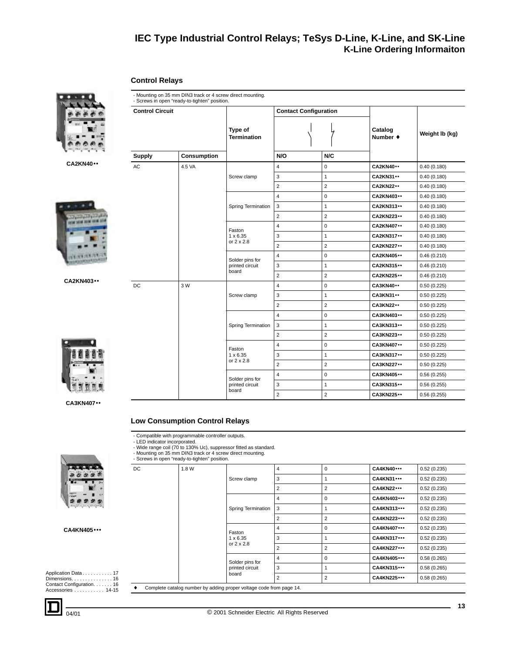### <span id="page-12-2"></span><span id="page-12-0"></span>**Control Relays**







**CA2KN403**••

| <b>Control Circuit</b> |             |                                             | <b>Contact Configuration</b> |                |                     |                |
|------------------------|-------------|---------------------------------------------|------------------------------|----------------|---------------------|----------------|
|                        |             | Type of<br><b>Termination</b>               |                              |                | Catalog<br>Number + | Weight Ib (kg) |
| <b>Supply</b>          | Consumption |                                             | N/O                          | N/C            |                     |                |
| AC                     | 4.5 VA      |                                             | $\overline{4}$               | 0              | <b>CA2KN40**</b>    | 0.40(0.180)    |
|                        |             | Screw clamp                                 | 3                            | $\mathbf{1}$   | <b>CA2KN31 ••</b>   | 0.40(0.180)    |
|                        |             |                                             | $\overline{2}$               | $\overline{c}$ | <b>CA2KN22**</b>    | 0.40(0.180)    |
|                        |             |                                             | $\overline{4}$               | 0              | CA2KN403 ••         | 0.40(0.180)    |
|                        |             | Spring Termination                          | $\mathbf{3}$                 | $\mathbf{1}$   | CA2KN313 ••         | 0.40(0.180)    |
|                        |             |                                             | $\overline{2}$               | $\overline{2}$ | <b>CA2KN223 ••</b>  | 0.40(0.180)    |
|                        |             | Faston                                      | $\overline{4}$               | 0              | CA2KN407 ••         | 0.40(0.180)    |
|                        |             | $1 \times 6.35$                             | 3                            | $\mathbf{1}$   | <b>CA2KN317 ••</b>  | 0.40(0.180)    |
|                        |             | or $2 \times 2.8$                           | $\overline{2}$               | $\overline{2}$ | <b>CA2KN227 ••</b>  | 0.40(0.180)    |
|                        |             | Solder pins for<br>printed circuit<br>board | $\overline{\mathbf{4}}$      | 0              | <b>CA2KN405 ••</b>  | 0.46(0.210)    |
|                        |             |                                             | 3                            | $\mathbf{1}$   | <b>CA2KN315 ••</b>  | 0.46(0.210)    |
|                        |             |                                             | $\overline{2}$               | $\overline{2}$ | <b>CA2KN225 ••</b>  | 0.46(0.210)    |
| DC                     | 3 W         |                                             | $\overline{4}$               | 0              | <b>CA3KN40 ••</b>   | 0.50(0.225)    |
|                        |             | Screw clamp                                 | 3                            | $\mathbf{1}$   | <b>CA3KN31 ••</b>   | 0.50(0.225)    |
|                        |             |                                             | $\overline{2}$               | $\overline{2}$ | <b>CA3KN22 ••</b>   | 0.50(0.225)    |
|                        |             |                                             | $\overline{4}$               | 0              | CA3KN403 ••         | 0.50(0.225)    |
|                        |             | Spring Termination                          | 3                            | $\mathbf{1}$   | <b>CA3KN313 ••</b>  | 0.50(0.225)    |
|                        |             |                                             | $\overline{2}$               | $\overline{2}$ | <b>CA3KN223 ••</b>  | 0.50(0.225)    |
|                        |             | Faston                                      | $\overline{4}$               | 0              | <b>CA3KN407**</b>   | 0.50(0.225)    |
|                        |             | $1 \times 6.35$                             | 3                            | $\mathbf{1}$   | <b>CA3KN317 ••</b>  | 0.50(0.225)    |
|                        |             | or $2 \times 2.8$                           | $\overline{2}$               | $\overline{2}$ | <b>CA3KN227 ••</b>  | 0.50(0.225)    |
|                        |             | Solder pins for                             | $\overline{4}$               | 0              | CA3KN405 ••         | 0.56(0.255)    |
|                        |             | printed circuit                             | $\mathsf 3$                  | $\mathbf{1}$   | <b>CA3KN315</b>     | 0.56(0.255)    |
|                        |             | board                                       | $\overline{2}$               | $\overline{2}$ | <b>CA3KN225 ••</b>  | 0.56(0.255)    |

**CA3KN407**••

### <span id="page-12-1"></span>**Low Consumption Control Relays**

- Mounting on 35 mm DIN3 track or 4 screw direct mounting.

- Compatible with programmable controller outputs. - LED indicator incorporated. - Wide range coil (70 to 130% Uc), suppressor fitted as standard.

### **CA4KN405**•••

Application Data . . . . . . . . . . . [17](#page-16-1) Dimensions. . . . . . . . . . . . . . . [16](#page-15-0)  Contact Configuration. . . . . . . [16](#page-15-0) Accessories . . . . . . . . . . . [14](#page-13-1)[-15](#page-14-0)

| DC | 1.8 W |                    | 4              | $\mathbf 0$    | <b>CA4KN40 •••</b>  | 0.52(0.235) |
|----|-------|--------------------|----------------|----------------|---------------------|-------------|
|    |       | Screw clamp        | 3              |                | <b>CA4KN31</b>      | 0.52(0.235) |
|    |       |                    | $\overline{2}$ | 2              | <b>CA4KN22</b>      | 0.52(0.235) |
|    |       |                    | 4              | $\Omega$       | CA4KN403 •••        | 0.52(0.235) |
|    |       | Spring Termination | 3              |                | CA4KN313 •••        | 0.52(0.235) |
|    |       |                    | $\overline{2}$ | 2              | <b>CA4KN223 •••</b> | 0.52(0.235) |
|    |       | Faston             | 4              | 0              | <b>CA4KN407***</b>  | 0.52(0.235) |
|    |       | $1 \times 6.35$    | 3              | 1              | <b>CA4KN317 •••</b> | 0.52(0.235) |
|    |       | or $2 \times 2.8$  | $\overline{2}$ | $\overline{2}$ | <b>CA4KN227 •••</b> | 0.52(0.235) |
|    |       | Solder pins for    | 4              | $\Omega$       | <b>CA4KN405 •••</b> | 0.58(0.265) |
|    |       | printed circuit    | 3              | 1              | <b>CA4KN315 •••</b> | 0.58(0.265) |
|    |       | board              | $\overline{2}$ | $\overline{2}$ | <b>CA4KN225 •••</b> | 0.58(0.265) |

♦ Complete catalog number by adding proper voltage code from page [14.](#page-13-0)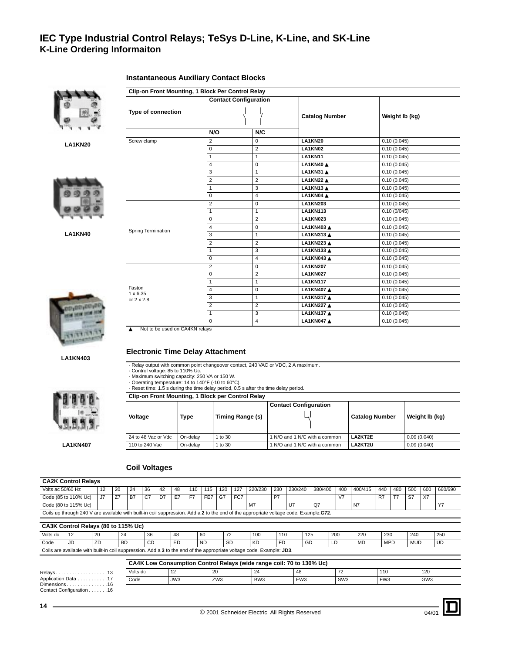

**LA1KN20**



**LA1KN40**



### <span id="page-13-0"></span>**Instantaneous Auxiliary Contact Blocks**

|                           | <b>Contact Configuration</b>        |                       |                |
|---------------------------|-------------------------------------|-----------------------|----------------|
| Type of connection        |                                     | <b>Catalog Number</b> | Weight Ib (kg) |
|                           | N/O                                 | N/C                   |                |
| Screw clamp               | 2<br>0                              | <b>LA1KN20</b>        | 0.10(0.045)    |
|                           | $\overline{2}$<br>0                 | LA1KN02               | 0.10(0.045)    |
|                           | $\mathbf{1}$<br>1                   | <b>LA1KN11</b>        | 0.10(0.045)    |
|                           | $\Omega$<br>4                       | LA1KN40 ▲             | 0.10(0.045)    |
|                           | 3<br>1                              | LA1KN31 A             | 0.10(0.045)    |
|                           | $\overline{2}$<br>$\overline{2}$    | LA1KN22 ▲             | 0.10(0.045)    |
|                           | 3<br>1                              | LA1KN13 ▲             | 0.10(0.045)    |
|                           | $\overline{4}$<br>0                 | LA1KN04 A             | 0.10(0.045)    |
|                           | $\overline{c}$<br>0                 | <b>LA1KN203</b>       | 0.10(0.045)    |
|                           | $\mathbf{1}$<br>1                   | <b>LA1KN113</b>       | 0.10(0/045)    |
|                           | $\overline{2}$<br>$\Omega$          | <b>LA1KN023</b>       | 0.10(0.045)    |
|                           | 0<br>4                              | LA1KN403 ▲            | 0.10(0.045)    |
| Spring Termination        | 3<br>$\mathbf{1}$                   | <b>LA1KN313 ▲</b>     | 0.10(0.045)    |
|                           | $\overline{c}$<br>$\overline{2}$    | LA1KN223 ▲            | 0.10(0.045)    |
|                           | 3<br>1                              | LA1KN133 ▲            | 0.10(0.045)    |
|                           | $\overline{\mathbf{4}}$<br>$\Omega$ | <b>LA1KN043 ▲</b>     | 0.10(0.045)    |
|                           | 2<br>0                              | <b>LA1KN207</b>       | 0.10(0.045)    |
|                           | $\overline{2}$<br>0                 | <b>LA1KN027</b>       | 0.10(0.045)    |
|                           | $\mathbf{1}$<br>1                   | <b>LA1KN117</b>       | 0.10(0.045)    |
| Faston<br>$1 \times 6.35$ | 0<br>4                              | <b>LA1KN407 ▲</b>     | 0.10(0.045)    |
| or $2 \times 2.8$         | 3<br>$\mathbf{1}$                   | LA1KN317 ▲            | 0.10(0.045)    |
|                           | $\overline{2}$<br>$\overline{2}$    | <b>LA1KN227 ▲</b>     | 0.10(0.045)    |
|                           | 3<br>1                              | <b>LA1KN137 ▲</b>     | 0.10(0.045)    |
|                           | $\Omega$<br>$\overline{4}$          | <b>LA1KN047 ▲</b>     | 0.10(0.045)    |

▲ Not to be used on CA4KN relays

**LA1KN403**



- Relay output with common point changeover contact, 240 VAC or VDC, 2 A maximum.

- Control voltage: 85 to 110% Uc.

- Maximum switching capacity: 250 VA or 150 W. - Operating temperature: 14 to 140°F (-10 to 60°C).

- Reset time: 1.5 s during the time delay period, 0.5 s after the time delay period.

**Clip-on Front Mounting, 1 Block per Control Relay**

| Voltage             | Type     | Timing Range (s) | <b>Contact Configuration</b>  | <b>Catalog Number</b> | Weight Ib (kg) |
|---------------------|----------|------------------|-------------------------------|-----------------------|----------------|
| 24 to 48 Vac or Vdc | On-delav | to $30$          | 1 N/O and 1 N/C with a common | LA2KT2E               | 0.09(0.040)    |
| 110 to 240 Vac      | On-delav | to 30            | I N/O and 1 N/C with a common | LA2KT2U               | 0.09(0.040)    |

## <span id="page-13-1"></span>**Coil Voltages**

### **CA2K Control Relays** Volts ac 50/60 Hz 12 20 24 36 42 48 110 115 120 127 220/230 230 230/240 380/400 400 400/415 440 480 500 600 660/690 Code (85 to 110% Uc) J7 Z7 B7 C7 D7 E7 F7 FE7 G7 FC7 P7 P7 V7 X7 R7 T7 S7 X7 Code (80 to 115% Uc) M7 U7 Q7 N7 Y7 Coils up through 240 V are available with built-in coil suppression. Add a **2** to the end of the appropriate voltage code. Example:**G72**.

| CA3K Control Relays (80 to 115% Uc) |                                                                                                                       |    |           |    |    |           |                          |           |           |     |            |           |            |                      |     |
|-------------------------------------|-----------------------------------------------------------------------------------------------------------------------|----|-----------|----|----|-----------|--------------------------|-----------|-----------|-----|------------|-----------|------------|----------------------|-----|
| Volts dc                            | 112                                                                                                                   | 20 | 24        | 36 | 48 | 60        | $\overline{\phantom{a}}$ | 100       | 110       | 125 | <b>200</b> | 220       | 230        | 240                  | 250 |
| Code                                |                                                                                                                       | ZD | <b>BD</b> | CD | ED | <b>ND</b> | <b>SD</b>                | <b>KD</b> | <b>FD</b> | GD  | ᄔ          | <b>MD</b> | <b>MPD</b> | <b>A</b> 41<br>שטואו | UD  |
|                                     | Coils are available with built-in coil suppression. Add a 3 to the end of the appropriate voltage code. Example: JD3. |    |           |    |    |           |                          |           |           |     |            |           |            |                      |     |

|                             |          | CA4K Low Consumption Control Relays (wide range coil: 70 to 130% Uc) |                 |                 |                 |                 |                 |                 |  |
|-----------------------------|----------|----------------------------------------------------------------------|-----------------|-----------------|-----------------|-----------------|-----------------|-----------------|--|
| Relavs13                    | Volts dc | 14                                                                   |                 | 24              |                 |                 | 110             | 120             |  |
| Application Data.........17 | Code     | JW3                                                                  | ZW <sub>3</sub> | BW <sub>3</sub> | EW <sub>3</sub> | SW <sub>3</sub> | FW <sub>3</sub> | GW <sub>3</sub> |  |
| Dimensions 16               |          |                                                                      |                 |                 |                 |                 |                 |                 |  |

Contact Configuration . . . . . . .[16](#page-15-0)



**LA1KN407**

04/01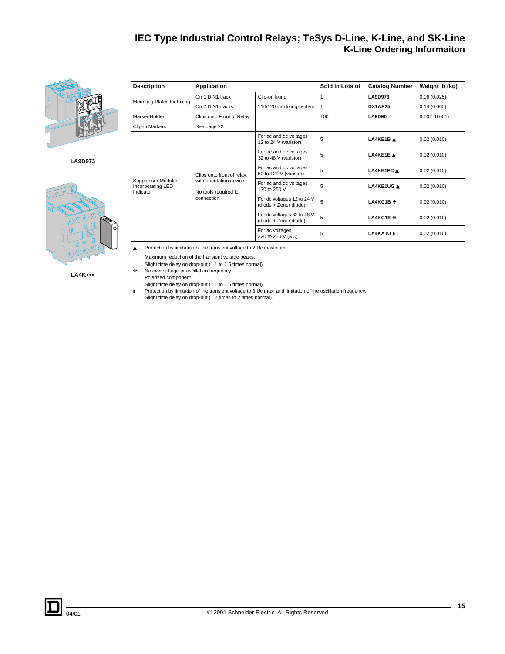

**LA9D973**



**LA4K**•••

<span id="page-14-0"></span>

| <b>Description</b>                                   | <b>Application</b>                                |                                                     | Sold in Lots of | <b>Catalog Number</b> | Weight Ib (kg) |
|------------------------------------------------------|---------------------------------------------------|-----------------------------------------------------|-----------------|-----------------------|----------------|
|                                                      | On 1 DIN1 track                                   | Clip-on fixing                                      | 1               | LA9D973               | 0.06(0.025)    |
| Mounting Plates for Fixing                           | On 2 DIN1 tracks                                  | 110/120 mm fixing centers                           | 1               | DX1AP25               | 0.14(0.065)    |
| Marker Holder                                        | Clips onto Front of Relay                         |                                                     | 100             | <b>LA9D90</b>         | 0.002(0.001)   |
| Clip-in Markers                                      | See page 22                                       |                                                     |                 |                       |                |
|                                                      |                                                   | For ac and dc voltages<br>12 to 24 V (varistor)     | 5               | LA4KE1BA              | 0.02(0.010)    |
|                                                      |                                                   | For ac and dc voltages<br>32 to 48 V (varistor)     | 5               | LA4KE1EA              | 0.02(0.010)    |
|                                                      | Clips onto front of relay,                        | For ac and dc voltages<br>50 to 129 V (varistor)    | 5               | LA4KE1FC A            | 0.02(0.010)    |
| Suppressor Modules<br>Incorporating LED<br>Indicator | with orientation device.<br>No tools required for | For ac and dc voltages<br>130 to 250 V              | 5               | LA4KE1UG A            | 0.02(0.010)    |
|                                                      | connection.                                       | For dc voltages 12 to 24 V<br>(diode + Zener diode) | 5               | LA4KC1B *             | 0.02(0.010)    |
|                                                      |                                                   | For dc voltages 32 to 48 V<br>(diode + Zener diode) | 5               | LA4KC1E *             | 0.02(0.010)    |
|                                                      |                                                   | For ac voltages<br>220 to 250 V (RC)                | 5               | LA4KA1UD              | 0.02(0.010)    |

▲ Protection by limitation of the transient voltage to 2 Uc maximum.

Maximum reduction of the transient voltage peaks.

Slight time delay on drop-out (1.1 to 1.5 times normal). ❉ No over voltage or oscillation frequency.

Polarized component.

- 
- Slight time delay on drop-out (1.1 to 1.5 times normal). ◗ Protection by limitation of the transient voltage to 3 Uc max. and limitation of the oscillation frequency. Slight time delay on drop-out (1.2 times to 2 times normal).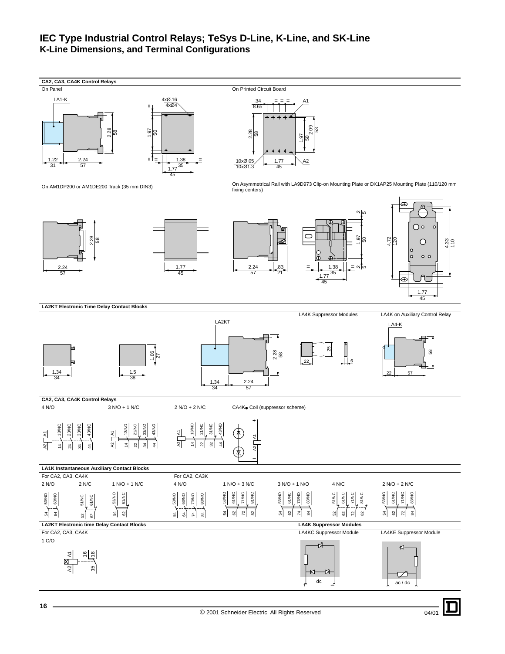# <span id="page-15-0"></span>**IEC Type Industrial Control Relays; TeSys D-Line, K-Line, and SK-Line K-Line Dimensions, and Terminal Configurations**



04/01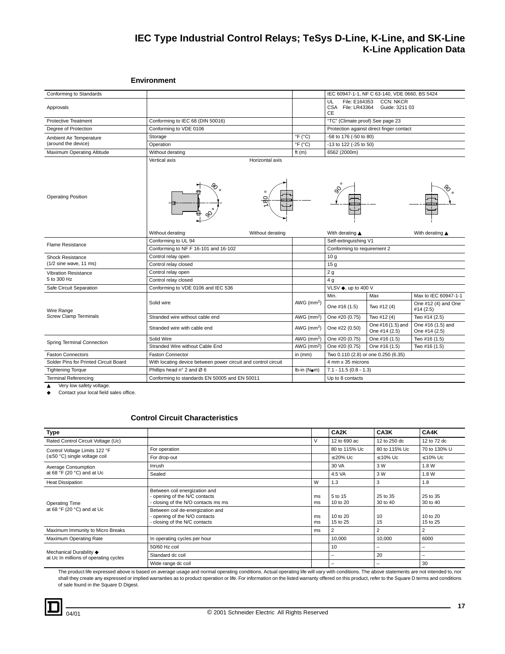# **IEC Type Industrial Control Relays; TeSys D-Line, K-Line, and SK-Line K-Line Application Data**

### <span id="page-16-0"></span>**Environment**

| Conforming to Standards               |                                                                |                            |                                                       | IEC 60947-1-1, NF C 63-140, VDE 0660, BS 5424 |                                    |  |  |
|---------------------------------------|----------------------------------------------------------------|----------------------------|-------------------------------------------------------|-----------------------------------------------|------------------------------------|--|--|
| Approvals                             |                                                                |                            | File: E164353<br>UL<br>CSA File: LR43364<br><b>CE</b> | <b>CCN: NKCR</b><br>Guide: 3211 03            |                                    |  |  |
| <b>Protective Treatment</b>           | Conforming to IEC 68 (DIN 50016)                               |                            | "TC" (Climate proof) See page 23                      |                                               |                                    |  |  |
| Degree of Protection                  | Conforming to VDE 0106                                         |                            |                                                       | Protection against direct finger contact      |                                    |  |  |
| Ambient Air Temperature               | Storage                                                        | $\degree$ F ( $\degree$ C) |                                                       | -58 to 176 (-50 to 80)                        |                                    |  |  |
| (around the device)                   | Operation                                                      | $\degree$ F ( $\degree$ C) | -13 to 122 (-25 to 50)                                |                                               |                                    |  |  |
| Maximum Operating Altitude            | Without derating                                               | ft $(m)$                   | 6562 (2000m)                                          |                                               |                                    |  |  |
| <b>Operating Position</b>             | Vertical axis<br>Horizontal axis<br>O<br>ᢁ<br>o®               |                            |                                                       |                                               |                                    |  |  |
|                                       | Without derating<br>Without derating                           |                            | With derating ▲                                       |                                               | With derating ▲                    |  |  |
| <b>Flame Resistance</b>               | Conforming to UL 94                                            |                            |                                                       | Self-extinguishing V1                         |                                    |  |  |
|                                       | Conforming to NF F 16-101 and 16-102                           |                            | Conforming to requirement 2                           |                                               |                                    |  |  |
| <b>Shock Resistance</b>               | Control relay open                                             |                            | 10 <sub>g</sub>                                       |                                               |                                    |  |  |
| $(1/2)$ sine wave, 11 ms)             | Control relay closed                                           |                            | 15 <sub>g</sub>                                       |                                               |                                    |  |  |
| <b>Vibration Resistance</b>           | Control relay open                                             |                            | 2g                                                    |                                               |                                    |  |  |
| 5 to 300 Hz                           | Control relay closed                                           |                            | 4 <sub>g</sub>                                        |                                               |                                    |  |  |
| Safe Circuit Separation               | Conforming to VDE 0106 and IEC 536                             |                            | VLSV ♦, up to 400 V                                   |                                               |                                    |  |  |
|                                       |                                                                |                            | Min.                                                  | Max                                           | Max to IEC 60947-1-1               |  |  |
| Wire Range                            | Solid wire                                                     | AWG $(mm2)$                | One #16 (1.5)                                         | Two #12 (4)                                   | One #12 (4) and One<br>#14 (2.5)   |  |  |
| <b>Screw Clamp Terminals</b>          | Stranded wire without cable end                                | AWG $(mm2)$                | One #20 (0.75)                                        | Two #12 (4)                                   | Two #14 (2.5)                      |  |  |
|                                       | Stranded wire with cable end                                   | AWG $(mm2)$                | One #22 (0.50)                                        | One #16 (1.5) and<br>One #14 (2.5)            | One #16 (1.5) and<br>One #14 (2.5) |  |  |
|                                       | Solid Wire                                                     | AWG (mm <sup>2</sup> )     | One #20 (0.75)                                        | One #16 (1.5)                                 | Two #16 (1.5)                      |  |  |
| Spring Terminal Connection            | Stranded Wire without Cable End                                | AWG $(mm2)$                | One #20 (0.75)                                        | One #16 (1.5)                                 | Two #16 (1.5)                      |  |  |
| <b>Faston Connectors</b>              | <b>Faston Connector</b>                                        | in $(mm)$                  | Two 0.110 (2.8) or one 0.250 (6.35)                   |                                               |                                    |  |  |
| Solder Pins for Printed Circuit Board | With locating device between power circuit and control circuit |                            | 4 mm x 35 microns                                     |                                               |                                    |  |  |
| <b>Tightening Torque</b>              | Phillips head n° 2 and Ø 6                                     | Ib-in (Nom)                | $7.1 - 11.5(0.8 - 1.3)$                               |                                               |                                    |  |  |
| <b>Terminal Referencing</b>           | Conforming to standards EN 50005 and EN 50011                  |                            | Up to 8 contacts                                      |                                               |                                    |  |  |

▲ Very low safety voltage. ◆ Contact your local field sales office.

# <span id="page-16-1"></span>**Control Circuit Characteristics**

| <b>Type</b>                                                      |                                                                                                     |          | CA2K                 | CA3K                 | CA4K                 |
|------------------------------------------------------------------|-----------------------------------------------------------------------------------------------------|----------|----------------------|----------------------|----------------------|
| Rated Control Circuit Voltage (Uc)                               |                                                                                                     | V        | 12 to 690 ac         | 12 to 250 dc         | 12 to 72 dc          |
| Control Voltage Limits 122 °F                                    | For operation                                                                                       |          | 80 to 115% Uc        | 80 to 115% Uc        | 70 to 130% U         |
| $(\leq 50$ °C) single voltage coil                               | For drop-out                                                                                        |          | $\leq$ 20% Uc        | $\leq 10\%$ Uc       | $\leq 10\%$ Uc       |
| Average Consumption                                              | Inrush                                                                                              |          | 30 VA                | 3 W                  | 1.8 W                |
| at 68 $\degree$ F (20 $\degree$ C) and at Uc                     | Sealed                                                                                              |          | 4.5 VA               | 3 W                  | 1.8 W                |
| <b>Heat Dissipation</b>                                          |                                                                                                     | W        | 1.3                  | 3                    | 1.8                  |
| <b>Operating Time</b>                                            | Between coil energization and<br>- opening of the N/C contacts<br>closing of the N/O contacts ms ms | ms<br>ms | 5 to 15<br>10 to 20  | 25 to 35<br>30 to 40 | 25 to 35<br>30 to 40 |
| at 68 $\degree$ F (20 $\degree$ C) and at Uc                     | Between coil de-energization and<br>- opening of the N/O contacts<br>- closing of the N/C contacts  | ms<br>ms | 10 to 20<br>15 to 25 | 10<br>15             | 10 to 20<br>15 to 25 |
| Maximum Immunity to Micro Breaks                                 |                                                                                                     | ms       | $\overline{2}$       | 2                    |                      |
| Maximum Operating Rate                                           | In operating cycles per hour                                                                        |          | 10,000               | 10,000               | 6000                 |
|                                                                  | 50/60 Hz coil                                                                                       |          | 10                   | -                    |                      |
| Mechanical Durability ♦<br>at Uc In millions of operating cycles | Standard dc coil                                                                                    |          | -                    | 20                   |                      |
|                                                                  | Wide range dc coil                                                                                  |          | -                    | -                    | 30                   |

The product life expressed above is based on average usage and normal operating conditions. Actual operating life will vary with conditions. The above statements are not intended to, nor<br>shall they create any expressed or of sale found in the Square D Digest.

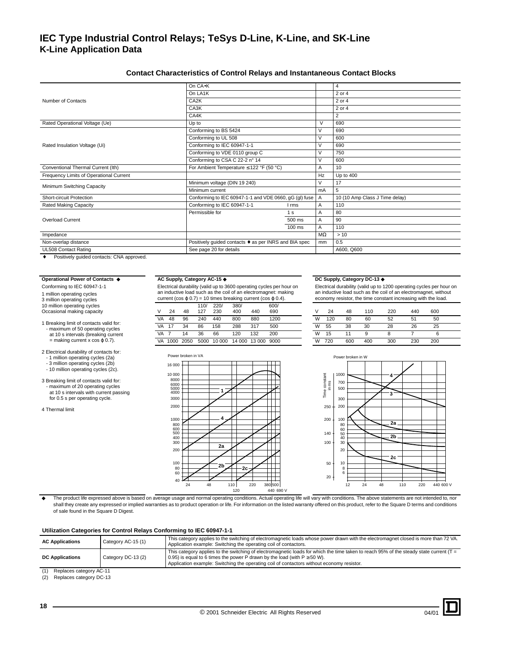### <span id="page-17-0"></span>**Contact Characteristics of Control Relays and Instantaneous Contact Blocks**

|                                         | On CA.K                                                |                |           | 4                              |
|-----------------------------------------|--------------------------------------------------------|----------------|-----------|--------------------------------|
|                                         | On LA1K                                                |                |           | 2 or 4                         |
| Number of Contacts                      | CA <sub>2</sub> K                                      |                |           | 2 or 4                         |
|                                         | CA3K                                                   |                |           | 2 or 4                         |
|                                         | CA4K                                                   |                |           | 2                              |
| Rated Operational Voltage (Ue)          | Up to                                                  |                |           | 690                            |
|                                         | Conforming to BS 5424                                  |                | V         | 690                            |
|                                         | Conforming to UL 508                                   |                | V         | 600                            |
| Rated Insulation Voltage (Ui)           | Conforming to IEC 60947-1-1                            |                |           | 690                            |
|                                         | Conforming to VDE 0110 group C                         |                |           | 750                            |
|                                         | Conforming to CSA C 22-2 n° 14                         |                |           | 600                            |
| Conventional Thermal Current (Ith)      | For Ambient Temperature $\leq$ 122 °F (50 °C)          |                | Α         | 10                             |
| Frequency Limits of Operational Current |                                                        |                | Hz        | Up to 400                      |
| Minimum Switching Capacity              | Minimum voltage (DIN 19 240)                           |                |           | 17                             |
|                                         | Minimum current                                        |                | mA        | 5                              |
| Short-circuit Protection                | Conforming to IEC 60947-1-1 and VDE 0660, gG (gl) fuse |                | A         | 10 (10 Amp Class J Time delay) |
| <b>Rated Making Capacity</b>            | Conforming to IEC 60947-1-1                            | l rms          | A         | 110                            |
|                                         | Permissible for                                        | 1 <sub>s</sub> | A         | 80                             |
| <b>Overload Current</b>                 |                                                        | 500 ms         | A         | 90                             |
|                                         |                                                        | 100 ms         | A         | 110                            |
| Impedance                               |                                                        |                | $M\Omega$ | >10                            |
| Non-overlap distance                    | Positively guided contacts ♦ as per INRS and BIA spec  |                | mm        | 0.5                            |
| UL508 Contact Rating                    | See page 20 for details                                |                |           | A600, Q600                     |
|                                         |                                                        |                |           |                                |

Positively guided contacts: CNA approved.

#### **Operational Power of Contacts** ◆ **AC Supply, Category AC-15** ◆ **DC Supply, Category DC-13** ◆

3 million operating cycles 10 million operating cycles Occasional making capacity

- 1 Breaking limit of contacts valid for: - maximum of 50 operating cycles at 10 s intervals (breaking current = making current x cos ϕ 0.7).
- 2 Electrical durability of contacts for: - 1 million operating cycles (2a)
- 3 million operating cycles (2b) - 10 million operating cycles (2c).
- 3 Breaking limit of contacts valid for: - maximum of 20 operating cycles at 10 s intervals with current passing for 0.5 s per operating cycle.

4 Thermal limit

Conforming to IEC 60947-1-1 Electrical durability (valid up to 3600 operating cycles per hour on Electrical durability (valid up to book operating by size per first.  $\alpha$ <br>an inductive load such as the coil of an electromagnet: making

|           | current (cos $\varphi$ 0.7) = 10 times breaking current (cos $\varphi$ 0.4). |      |             |             |             |        |             |   |     |     |     | economy resistor, the time constant increasing with the $\mathsf l$ |     |     |
|-----------|------------------------------------------------------------------------------|------|-------------|-------------|-------------|--------|-------------|---|-----|-----|-----|---------------------------------------------------------------------|-----|-----|
| v         | 24                                                                           | 48   | 110/<br>127 | 220/<br>230 | 380/<br>400 | 440    | 600/<br>690 |   | 24  | 48  | 110 | 220                                                                 | 440 | 600 |
| <b>VA</b> | 48                                                                           | 96   | 240         | 440         | 800         | 880    | 1200        | W | 120 | 80  | 60  | 52                                                                  | 51  | 50  |
| VA        |                                                                              | 34   | 86          | 158         | 288         | 317    | 500         | W | 55  | 38  | 30  | 28                                                                  | 26  | 25  |
| VA        |                                                                              | 14   | 36          | 66          | 120         | 132    | 200         | W | 15  |     | 9   |                                                                     |     |     |
| VA        | 1000                                                                         | 2050 | 5000        | 10 000      | 14 000      | 13 000 | 9000        | W | 720 | 600 | 400 | 300                                                                 | 230 | 200 |



Electrical durability (valid up to 1200 operating cycles per hour on an inductive load such as the coil of an electromagnet, without 1 million operating cycles example to the time an inductive load such as the coil of an electromagnet: making<br>2 million operating cycles current (cos o 0.7) = 10 times breaking current (cos o 0.4). economy resistor, the ti

|   | 24  | 48  | 110 | 220 | 440 | 600 |  |
|---|-----|-----|-----|-----|-----|-----|--|
| W | 120 | 80  | 60  | 52  | 51  | 50  |  |
| W | 55  | 38  | 30  | 28  | 26  | 25  |  |
| W | 15  | 11  | 9   | 8   |     | 6   |  |
| W | 720 | 600 | 400 | 300 | 230 | 200 |  |



The product life expressed above is based on average usage and normal operating conditions. Actual operating life will vary with conditions. The above statements are not intended to, nor shall they create any expressed or implied warranties as to product operation or life. For information on the listed warranty offered on this product, refer to the Square D terms and conditions of sale found in the Square D Digest.

### **Utilization Categories for Control Relays Conforming to IEC 60947-1-1**

| <b>AC Applications</b>   | Category AC-15 (1) | This category applies to the switching of electromagnetic loads whose power drawn with the electromagnet closed is more than 72 VA.<br>Application example: Switching the operating coil of contactors.                                                                                                                |
|--------------------------|--------------------|------------------------------------------------------------------------------------------------------------------------------------------------------------------------------------------------------------------------------------------------------------------------------------------------------------------------|
| <b>DC Applications</b>   | Category DC-13 (2) | This category applies to the switching of electromagnetic loads for which the time taken to reach 95% of the steady state current ( $T =$<br>0.95) is equal to 6 times the power P drawn by the load (with $P \ge 50$ W).<br>Application example: Switching the operating coil of contactors without economy resistor. |
| Deslesse satessen, AO 44 |                    |                                                                                                                                                                                                                                                                                                                        |

 $(1)$  Replaces category (2) Replaces category DC-13

**18**

04/01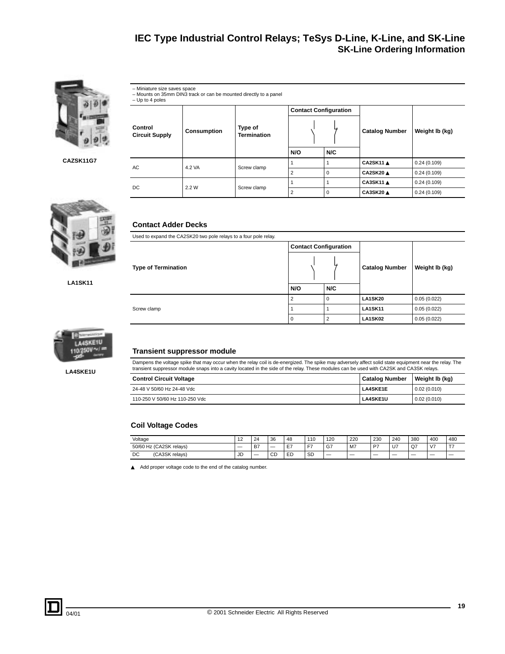

**CAZSK11G7**



**LA1SK11**

 $\overline{a}$ 



**LA4SKE1U**

<span id="page-18-0"></span>

| - Miniature size saves space<br>- Up to 4 poles | - Mounts on 35mm DIN3 track or can be mounted directly to a panel |                                                       |                              |          |                       |                |  |  |  |  |  |  |
|-------------------------------------------------|-------------------------------------------------------------------|-------------------------------------------------------|------------------------------|----------|-----------------------|----------------|--|--|--|--|--|--|
|                                                 |                                                                   |                                                       | <b>Contact Configuration</b> |          |                       |                |  |  |  |  |  |  |
| Control<br><b>Circuit Supply</b>                | <b>Consumption</b>                                                | Type of<br><b>Termination</b>                         |                              |          | <b>Catalog Number</b> | Weight Ib (kg) |  |  |  |  |  |  |
|                                                 |                                                                   | N/C<br>N/O<br>CA2SK11 A<br>0.24(0.109)<br>Screw clamp |                              |          |                       |                |  |  |  |  |  |  |
| АC                                              | 4.2 VA                                                            |                                                       |                              |          |                       |                |  |  |  |  |  |  |
|                                                 |                                                                   |                                                       | 2                            | $\Omega$ | CA2SK20 A             | 0.24(0.109)    |  |  |  |  |  |  |
| DC                                              | 2.2 W                                                             |                                                       |                              |          | CA3SK11 A             | 0.24(0.109)    |  |  |  |  |  |  |
|                                                 |                                                                   | Screw clamp                                           | 2                            | $\Omega$ | CA3SK20 A             | 0.24(0.109)    |  |  |  |  |  |  |
|                                                 |                                                                   |                                                       |                              |          |                       |                |  |  |  |  |  |  |

### <span id="page-18-1"></span>**Contact Adder Decks**

| Used to expand the CA2SK20 two pole relays to a four pole relay. |                              |                |                       |                |  |  |  |  |  |  |
|------------------------------------------------------------------|------------------------------|----------------|-----------------------|----------------|--|--|--|--|--|--|
|                                                                  | <b>Contact Configuration</b> |                |                       |                |  |  |  |  |  |  |
| <b>Type of Termination</b>                                       |                              |                | <b>Catalog Number</b> | Weight Ib (kg) |  |  |  |  |  |  |
| N/O                                                              |                              | N/C            |                       |                |  |  |  |  |  |  |
|                                                                  |                              | $\Omega$       | <b>LA1SK20</b>        | 0.05(0.022)    |  |  |  |  |  |  |
| Screw clamp                                                      |                              |                | <b>LA1SK11</b>        | 0.05(0.022)    |  |  |  |  |  |  |
|                                                                  | 0                            | $\overline{2}$ | LA1SK02               | 0.05(0.022)    |  |  |  |  |  |  |

### **Transient suppressor module**

Dampens the voltage spike that may occur when the relay coil is de-energized. The spike may adversely affect solid state equipment near the relay. The<br>transient suppressor module snaps into a cavity located in the side of

| <b>Control Circuit Voltage</b> | <b>Catalog Number</b> | Weight Ib (kg) |
|--------------------------------|-----------------------|----------------|
| 24-48 V 50/60 Hz 24-48 Vdc     | <b>LA4SKE1E</b>       | 0.02(0.010)    |
| 110-250 V 50/60 Hz 110-250 Vdc | <b>LA4SKE1U</b>       | 0.02(0.010)    |

### **Coil Voltage Codes**

| Voltage                      | 12<br>► | 24          | 36 | 48      | 110       | 120 | 220 | 230 | 240  | 380 | 400            | 480 |
|------------------------------|---------|-------------|----|---------|-----------|-----|-----|-----|------|-----|----------------|-----|
| 0 Hz (CA2SK relavs)<br>50/60 |         | $\sim$<br>ы |    | --<br>- | --        | G7  | M7  | P7  | . U7 | u   | V <sub>7</sub> | --  |
| DC<br>(CA3SK relavs)         |         |             | CD | ED      | <b>SD</b> | _   | __  |     | __   |     | --             |     |

▲ Add proper voltage code to the end of the catalog number.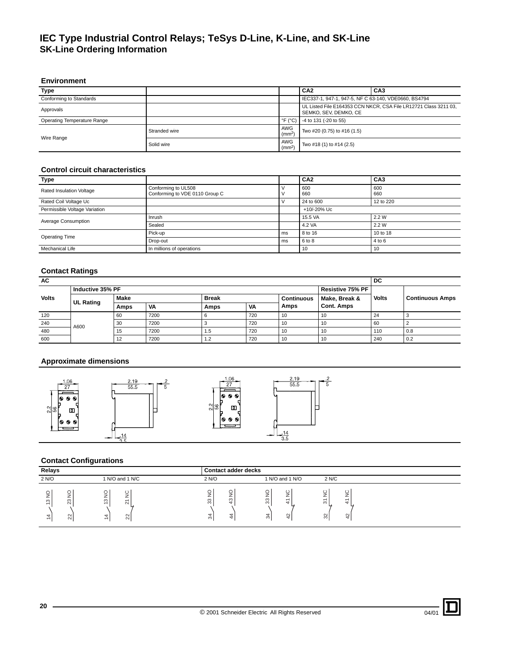### <span id="page-19-0"></span>**Environment**

| Type                                                                            |               |                            | CA <sub>2</sub>                                                                           | CA <sub>3</sub> |  |  |
|---------------------------------------------------------------------------------|---------------|----------------------------|-------------------------------------------------------------------------------------------|-----------------|--|--|
| IEC337-1, 947-1, 947-5, NF C 63-140, VDE0660, BS4794<br>Conforming to Standards |               |                            |                                                                                           |                 |  |  |
| Approvals                                                                       |               |                            | UL Listed File E164353 CCN NKCR, CSA File LR12721 Class 3211 03,<br>SEMKO, SEV, DEMKO, CE |                 |  |  |
| Operating Temperature Range                                                     |               | $\degree$ F ( $\degree$ C) | -4 to 131 (-20 to 55)                                                                     |                 |  |  |
| Wire Range                                                                      | Stranded wire | AWG<br>$\rm (mm^2)$        | Two #20 (0.75) to #16 (1.5)                                                               |                 |  |  |
|                                                                                 | Solid wire    | AWG<br>(mm <sup>2</sup> )  | Two #18 (1) to #14 (2.5)                                                                  |                 |  |  |

# **Control circuit characteristics**

| Type                          |                                                       |    | CA <sub>2</sub> | CA <sub>3</sub> |
|-------------------------------|-------------------------------------------------------|----|-----------------|-----------------|
| Rated Insulation Voltage      | Conforming to UL508<br>Conforming to VDE 0110 Group C |    | 600<br>660      | 600<br>660      |
| Rated Coil Voltage Uc         |                                                       |    | 24 to 600       | 12 to 220       |
| Permissible Voltage Variation | +10/-20% Uc                                           |    |                 |                 |
| Average Consumption           | Inrush                                                |    | 15.5 VA         | 2.2 W           |
|                               | Sealed                                                |    | 4.2 VA          | 2.2 W           |
| <b>Operating Time</b>         | Pick-up                                               | ms | 8 to 16         | 10 to 18        |
|                               | Drop-out<br>ms                                        |    | 6 to 8          | 4 to 6          |
| Mechanical Life               | In millions of operations                             |    | 10              | 10              |

## <span id="page-19-1"></span>**Contact Ratings**

| AC           |                          |      |      |                  |                   |      |                   | DC           |                        |  |
|--------------|--------------------------|------|------|------------------|-------------------|------|-------------------|--------------|------------------------|--|
|              | Inductive 35% PF         |      |      | Resistive 75% PF |                   |      |                   |              |                        |  |
| <b>Volts</b> |                          | Make |      | <b>Break</b>     | <b>Continuous</b> |      | Make, Break &     | <b>Volts</b> | <b>Continuous Amps</b> |  |
|              |                          | Amps | VA   | Amps             | <b>VA</b>         | Amps | <b>Cont. Amps</b> |              |                        |  |
| 120          | <b>UL Rating</b><br>A600 | 60   | 7200 |                  | 720               | 10   | -10               | 24           |                        |  |
| 240          |                          | 30   | 7200 |                  | 720               | 10   | -10               | 60           |                        |  |
| 480          |                          | 15   | 7200 | 1.5              | 720               | 10   | -10               | 110          | 0.8                    |  |
| 600          |                          | 12   | 7200 | $\overline{2}$   | 720               | 10   | 10                | 240          | 0.2                    |  |

# **Approximate dimensions**



# **Contact Configurations**

| Relays                                                                              |                                                                                                        |                                                             |                          | <b>Contact adder decks</b>                      |                             |                                                               |                                       |                                                                |  |  |
|-------------------------------------------------------------------------------------|--------------------------------------------------------------------------------------------------------|-------------------------------------------------------------|--------------------------|-------------------------------------------------|-----------------------------|---------------------------------------------------------------|---------------------------------------|----------------------------------------------------------------|--|--|
| 2 N/O                                                                               | 1 N/O and 1 N/C                                                                                        |                                                             | 2 N/O                    |                                                 |                             | 1 N/O and 1 N/O                                               |                                       |                                                                |  |  |
| O<br>∸<br>S<br>$\overline{\phantom{0}}$<br>$\mathbf{+}$<br>$\overline{\phantom{0}}$ | ⊻<br>∠<br>$\infty$<br>23<br>$\overline{\phantom{0}}$<br>22<br>$\mathbf{H}$<br>$\overline{\phantom{0}}$ | ڀ<br>$\overline{\phantom{0}}$<br>$\sim$<br>$\sim$<br>$\sim$ | $\mathsf{S}$<br>33<br>34 | $\circ$<br>⊸<br>$\infty$<br>$\overline{a}$<br>4 | O<br>⇒<br>∼<br>33<br>ᆉ<br>∞ | ပ<br>⊸<br>ے<br>$\overline{\phantom{0}}$<br>$\rightarrow$<br>₽ | $\frac{C}{C}$<br>$\overline{5}$<br>32 | ပ<br>÷<br>∽<br>$\overline{\phantom{0}}$<br>₩<br>$\overline{5}$ |  |  |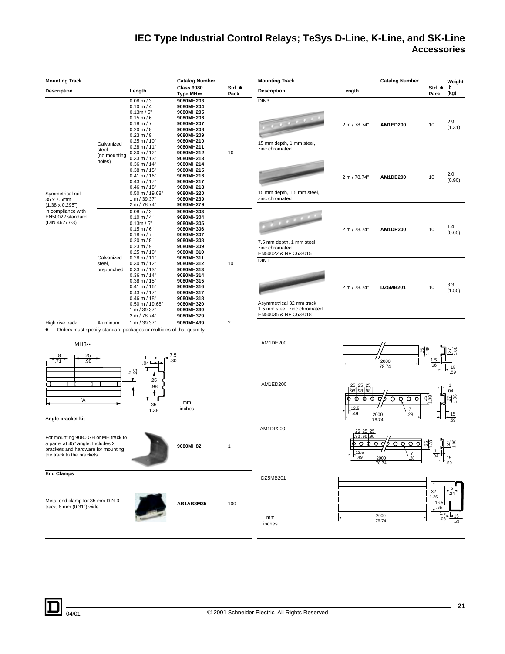# <span id="page-20-0"></span>**IEC Type Industrial Control Relays; TeSys D-Line, K-Line, and SK-Line Accessories**

| <b>Mounting Track</b>                                                                                                                       |                        |                                                                                                                                                                                         | <b>Catalog Number</b>                                                                                                                         |                | <b>Mounting Track</b>                                                                   |                                                                | <b>Catalog Number</b>                               |                                            | Weight                 |
|---------------------------------------------------------------------------------------------------------------------------------------------|------------------------|-----------------------------------------------------------------------------------------------------------------------------------------------------------------------------------------|-----------------------------------------------------------------------------------------------------------------------------------------------|----------------|-----------------------------------------------------------------------------------------|----------------------------------------------------------------|-----------------------------------------------------|--------------------------------------------|------------------------|
| <b>Description</b>                                                                                                                          |                        | Length                                                                                                                                                                                  | <b>Class 9080</b>                                                                                                                             | Std. •         | <b>Description</b>                                                                      | Length                                                         |                                                     | Std. $\bullet$                             | lb                     |
|                                                                                                                                             | Galvanized<br>steel    | $0.08$ m $/$ 3"<br>$0.10$ m $/$ 4"<br>0.13m / 5"<br>$0.15$ m / $6"$<br>$0.18$ m $/7"$<br>$0.20$ m / 8"<br>$0.23$ m / $9"$<br>$0.25$ m / 10"<br>$0.28$ m / 11"<br>$0.30$ m / 12"         | Type MH •••<br>9080MH203<br>9080MH204<br>9080MH205<br>9080MH206<br>9080MH207<br>9080MH208<br>9080MH209<br>9080MH210<br>9080MH211<br>9080MH212 | Pack<br>10     | DIN3<br>15 mm depth, 1 mm steel,<br>zinc chromated                                      | 2 m / 78.74"                                                   | AM1ED200                                            | Pack<br>10                                 | (kg)<br>2.9<br>(1.31)  |
| Symmetrical rail<br>35 x 7.5mm<br>$(1.38 \times 0.295")$                                                                                    | (no mounting<br>holes) | $0.33$ m / 13"<br>$0.36$ m / 14"<br>$0.38$ m / 15"<br>$0.41 \text{ m} / 16"$<br>$0.43$ m / 17"<br>$0.46$ m / 18"<br>$0.50$ m / 19.68"<br>1 m / 39.37"<br>2 m / 78.74"                   | 9080MH213<br>9080MH214<br>9080MH215<br>9080MH216<br>9080MH217<br>9080MH218<br>9080MH220<br>9080MH239<br>9080MH279                             |                | 15 mm depth, 1.5 mm steel,<br>zinc chromated                                            | 2 m / 78.74"                                                   | <b>AM1DE200</b>                                     | 10                                         | 2.0<br>(0.90)          |
| in compliance with<br>EN50022 standard<br>(DIN 46277-3)                                                                                     | Galvanized             | $0.08$ m $/$ 3"<br>$0.10$ m / 4"<br>0.13m / 5"<br>$0.15 \text{ m} / 6$ "<br>$0.18$ m $/7"$<br>$0.20$ m $/$ 8"<br>$0.23 \text{ m} / 9$ "<br>$0.25$ m / 10"<br>$0.28$ m / 11"             | 9080MH303<br>9080MH304<br>9080MH305<br>9080MH306<br>9080MH307<br>9080MH308<br>9080MH309<br>9080MH310<br>9080MH311                             |                | 7.5 mm depth, 1 mm steel,<br>zinc chromated<br>EN50022 & NF C63-015<br>DIN <sub>1</sub> | 2 m / 78.74"                                                   | <b>AM1DP200</b>                                     | 10                                         | 1.4<br>(0.65)          |
|                                                                                                                                             | steel,<br>prepunched   | $0.30$ m / 12"<br>$0.33$ m / 13"<br>$0.36$ m / 14"<br>$0.38$ m / 15"<br>$0.41 \text{ m} / 16"$<br>$0.43$ m / 17"<br>$0.46$ m / 18"<br>$0.50$ m / 19.68"<br>1 m / 39.37"<br>2 m / 78.74" | 9080MH312<br>9080MH313<br>9080MH314<br>9080MH315<br>9080MH316<br>9080MH317<br>9080MH318<br>9080MH320<br>9080MH339<br>9080MH379                | 10             | Asymmetrical 32 mm track<br>1.5 mm steel, zinc chromated<br>EN50035 & NF C63-018        | 2 m / 78.74"                                                   | DZ5MB201                                            | 10                                         | 3.3<br>(1.50)          |
| High rise track                                                                                                                             | Aluminum               | 1 m / 39.37"                                                                                                                                                                            | 9080MH439                                                                                                                                     | $\overline{c}$ |                                                                                         |                                                                |                                                     |                                            |                        |
| $\bullet$<br><b>MH3</b> ••<br>25<br>.98<br>.71<br>г<br>"A"<br>Angle bracket kit                                                             |                        | Orders must specify standard packages or multiples of that quantity<br><u>7.5</u><br>30<br>.04 <sup>L</sup><br>25<br>$\mathbf  \circ$<br>25<br>.98<br>35<br>1.38                        | mm<br>inches                                                                                                                                  |                | AM1DE200<br>AM1ED200                                                                    | $\frac{25}{98}$ $\frac{25}{98}$ $\frac{25}{98}$<br>12.5<br>.49 | 2000<br>78.74<br>$\overline{7}$<br>2000<br>.28      | $\frac{35}{1.38}$<br>.06<br>$rac{35}{138}$ | $\frac{15}{.59}$<br>15 |
| For mounting 9080 GH or MH track to<br>a panel at 45° angle. Includes 2<br>brackets and hardware for mounting<br>the track to the brackets. |                        |                                                                                                                                                                                         | 9080MH82                                                                                                                                      |                | AM1DP200                                                                                | 25.25<br>25<br>98<br>98<br>,12.5<br>.49                        | 78.74<br>$\overline{\Theta}$<br>2000<br>28<br>78.74 | မျှန<br>$\overline{04}$                    | .59<br><u>្វាគាន់</u>  |
| <b>End Clamps</b><br>Metal end clamp for 35 mm DIN 3<br>track, 8 mm (0.31") wide                                                            |                        |                                                                                                                                                                                         | AB1AB8M35                                                                                                                                     | 100            | DZ5MB201<br>mm<br>inches                                                                |                                                                | 2000<br>78.74                                       | 32<br>1.26<br>16.<br>.65<br>.06            |                        |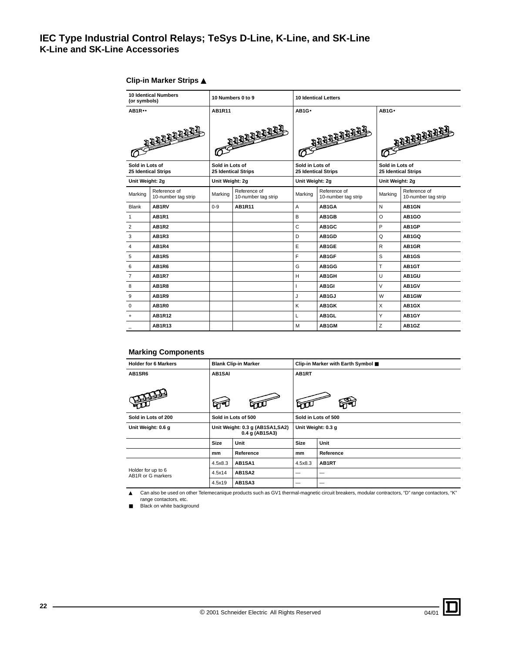# **IEC Type Industrial Control Relays; TeSys D-Line, K-Line, and SK-Line K-Line and SK-Line Accessories**

| <b>10 Identical Numbers</b><br>(or symbols)   |                                     | 10 Numbers 0 to 9                             |                                     | <b>10 Identical Letters</b>                   |                                     |                                               |                                     |
|-----------------------------------------------|-------------------------------------|-----------------------------------------------|-------------------------------------|-----------------------------------------------|-------------------------------------|-----------------------------------------------|-------------------------------------|
| <b>AB1R</b>                                   |                                     | <b>AB1R11</b>                                 |                                     | AB1G.                                         |                                     | AB1G.                                         |                                     |
| <b>THE REAL PROPERTY</b>                      |                                     | O BERTHERE                                    |                                     | <b>REFERENCE</b>                              |                                     | <b>OCCUPATION</b>                             |                                     |
| Sold in Lots of<br><b>25 Identical Strips</b> |                                     | Sold in Lots of<br><b>25 Identical Strips</b> |                                     | Sold in Lots of<br><b>25 Identical Strips</b> |                                     | Sold in Lots of<br><b>25 Identical Strips</b> |                                     |
| Unit Weight: 2g                               |                                     | Unit Weight: 2g                               |                                     | Unit Weight: 2g                               |                                     | Unit Weight: 2g                               |                                     |
| Marking                                       | Reference of<br>10-number tag strip | Marking                                       | Reference of<br>10-number tag strip | Marking                                       | Reference of<br>10-number tag strip | Marking                                       | Reference of<br>10-number tag strip |
| <b>Blank</b>                                  | AB1RV                               | $0 - 9$                                       | <b>AB1R11</b>                       | $\overline{A}$                                | AB1GA                               | N                                             | AB1GN                               |
| $\mathbf{1}$                                  | <b>AB1R1</b>                        |                                               |                                     | B                                             | AB1GB                               | $\circ$                                       | AB1GO                               |
| $\overline{2}$                                | <b>AB1R2</b>                        |                                               |                                     | $\mathsf{C}$                                  | AB1GC                               | P                                             | AB1GP                               |
| 3                                             | AB1R3                               |                                               |                                     | D                                             | AB1GD                               | Q                                             | AB1GO                               |
| $\overline{4}$                                | AB1R4                               |                                               |                                     | E                                             | AB1GE                               | $\mathsf{R}$                                  | AB1GR                               |
| 5                                             | <b>AB1R5</b>                        |                                               |                                     | F                                             | AB1GF                               | S                                             | AB1GS                               |
| 6                                             | <b>AB1R6</b>                        |                                               |                                     | G                                             | AB1GG                               | T                                             | AB1GT                               |
| $\overline{7}$                                | <b>AB1R7</b>                        |                                               |                                     | H                                             | AB1GH                               | U                                             | AB1GU                               |
| 8                                             | <b>AB1R8</b>                        |                                               |                                     | $\mathbf{I}$                                  | AB1GI                               | V                                             | AB1GV                               |
| 9                                             | <b>AB1R9</b>                        |                                               |                                     | J                                             | AB1GJ                               | W                                             | AB1GW                               |
| $\Omega$                                      | AB1R0                               |                                               |                                     | K                                             | AB1GK                               | X                                             | AB1GX                               |
| $\ddot{}$                                     | <b>AB1R12</b>                       |                                               |                                     | L                                             | AB1GL                               | Y                                             | AB1GY                               |
|                                               | AB1R13                              |                                               |                                     | M                                             | AB1GM                               | Z                                             | AB1GZ                               |

## <span id="page-21-0"></span>**Clip-in Marker Strips** ▲

# **Marking Components**

| <b>Holder for 6 Markers</b><br><b>Blank Clip-in Marker</b> |                                                   | Clip-in Marker with Earth Symbol ■ |                     |           |  |
|------------------------------------------------------------|---------------------------------------------------|------------------------------------|---------------------|-----------|--|
| AB1SR6                                                     | <b>AB1SAI</b>                                     |                                    | AB1RT               |           |  |
|                                                            |                                                   |                                    |                     |           |  |
| Sold in Lots of 200                                        | Sold in Lots of 500                               |                                    | Sold in Lots of 500 |           |  |
| Unit Weight: 0.6 g                                         | Unit Weight: 0.3 g (AB1SA1,SA2)<br>0.4 g (AB1SA3) |                                    | Unit Weight: 0.3 g  |           |  |
|                                                            | <b>Size</b>                                       | Unit                               | <b>Size</b>         | Unit      |  |
|                                                            | mm                                                | Reference                          | mm                  | Reference |  |
|                                                            | 4.5x8.3                                           | AB1SA1                             | 4.5x8.3             | AB1RT     |  |
| Holder for up to 6<br>AB1R or G markers                    | 4.5x14                                            | AB1SA2                             | —                   |           |  |
|                                                            | 4.5x19                                            | AB1SA3                             |                     |           |  |

▲ Can also be used on other Telemecanique products such as GV1 thermal-magnetic circuit breakers, modular contractors, "D" range contactors, "K" range contactors, etc.

■ Black on white background

04/01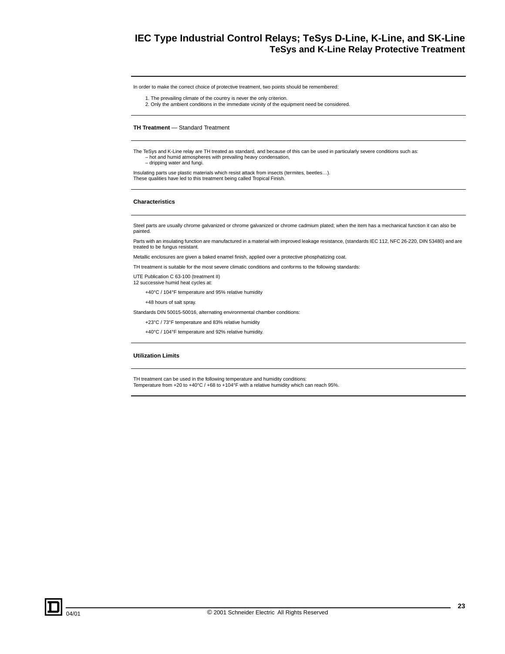# **IEC Type Industrial Control Relays; TeSys D-Line, K-Line, and SK-Line TeSys and K-Line Relay Protective Treatment**

<span id="page-22-0"></span>In order to make the correct choice of protective treatment, two points should be remembered:

- 1. The prevailing climate of the country is never the only criterion.
- 2. Only the ambient conditions in the immediate vicinity of the equipment need be considered.

#### **TH Treatment** — Standard Treatment

The TeSys and K-Line relay are TH treated as standard, and because of this can be used in particularly severe conditions such as: – hot and humid atmospheres with prevailing heavy condensation, – dripping water and fungi.

Insulating parts use plastic materials which resist attack from insects (termites, beetles…). These qualities have led to this treatment being called Tropical Finish.

#### **Characteristics**

Steel parts are usually chrome galvanized or chrome galvanized or chrome cadmium plated; when the item has a mechanical function it can also be painted.

Parts with an insulating function are manufactured in a material with improved leakage resistance, (standards IEC 112, NFC 26-220, DIN 53480) and are treated to be fungus resistant.

Metallic enclosures are given a baked enamel finish, applied over a protective phosphatizing coat.

TH treatment is suitable for the most severe climatic conditions and conforms to the following standards:

UTE Publication C 63-100 (treatment II) 12 successive humid heat cycles at:

+40°C / 104°F temperature and 95% relative humidity

+48 hours of salt spray.

Standards DIN 50015-50016, alternating environmental chamber conditions:

+23°C / 73°F temperature and 83% relative humidity

+40°C / 104°F temperature and 92% relative humidity.

#### **Utilization Limits**

TH treatment can be used in the following temperature and humidity conditions: Temperature from +20 to +40°C / +68 to +104°F with a relative humidity which can reach 95%.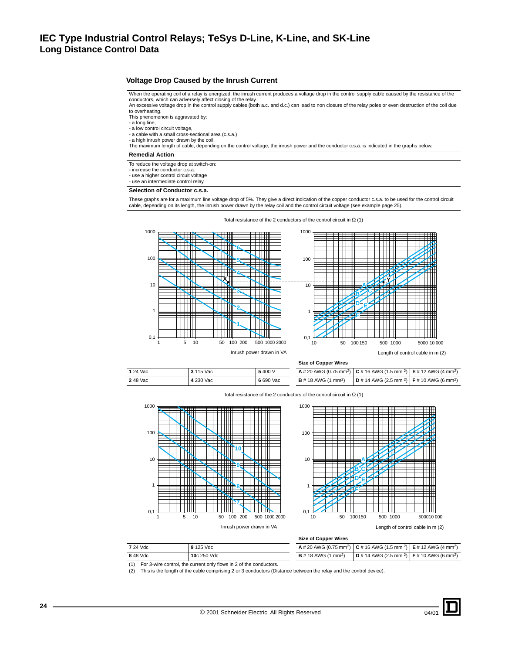## <span id="page-23-1"></span><span id="page-23-0"></span>**Voltage Drop Caused by the Inrush Current**

When the operating coil of a relay is energized, the inrush current produces a voltage drop in the control supply cable caused by the resistance of the conductors, which can adversely affect closing of the relay.<br>An excessive voltage drop in the control supply cables (both a.c. and d.c.) can lead to non closure of the relay poles or even destruction of the coil due

to overheating.

- This phenomenon is aggravated by:
- a long line, a low control circuit voltage,

- a cable with a small cross-sectional area (c.s.a.)

- a high inrush power drawn by the coil.
- The maximum length of cable, depending on the control voltage, the inrush power and the conductor c.s.a. is indicated in the graphs below.

### **Remedial Action**

- To reduce the voltage drop at switch-on:
- increase the conductor c.s.a.
- use a higher control circuit voltage

- use an intermediate control relay.

### **Selection of Conductor c.s.a.**

These graphs are for a maximum line voltage drop of 5%. They give a direct indication of the copper conductor c.s.a. to be used for the control circuit<br>cable, depending on its length, the inrush power drawn by the relay co

Total resistance of the 2 conductors of the control circuit in  $\Omega$  (1)





|        |           |           | -------         |
|--------|-----------|-----------|-----------------|
| 24 Vac | 3 115 Vac | 5400 V    | A#20A           |
| 48 Vac | 4 230 Vac | 6 690 Vac | <b>B</b> # 18 A |

**Size of Copper Wires**

| one or opportuned                    |                                                                                                                                         |  |  |  |  |
|--------------------------------------|-----------------------------------------------------------------------------------------------------------------------------------------|--|--|--|--|
|                                      | <b>A</b> # 20 AWG (0.75 mm <sup>2</sup> ) $\mid$ <b>C</b> # 16 AWG (1.5 mm <sup>2</sup> ) $\mid$ <b>E</b> # 12 AWG (4 mm <sup>2</sup> ) |  |  |  |  |
| <b>B</b> # 18 AWG $(1 \text{ mm}^2)$ | $D# 14$ AWG (2.5 mm <sup>2</sup> ) $F# 10$ AWG (6 mm <sup>2</sup> )                                                                     |  |  |  |  |

| 1 24 Vac | 3 115 Vac | 5400 V    | <b>A</b> # 20 AWG (0.75 mm <sup>2</sup> ) <b>C</b> # 16 AWG (1.5 mm <sup>2</sup> ) <b>E</b> # 12 AWG (4 mm <sup>2</sup> ) |                                                                                 |  |
|----------|-----------|-----------|---------------------------------------------------------------------------------------------------------------------------|---------------------------------------------------------------------------------|--|
| 248 Vac  | 4 230 Vac | 6 690 Vac | <b>B</b> # 18 AWG (1 mm <sup>2</sup> )                                                                                    | <b>D</b> # 14 AWG (2.5 mm <sup>2</sup> ) <b>F</b> # 10 AWG (6 mm <sup>2</sup> ) |  |

Total resistance of the 2 conductors of the control circuit in  $\Omega$  (1)





**Size of Copper Wires**

| 7 24 Vdc | 9 125 Vdc   | <b>A</b> # 20 AWG (0.75 mm <sup>2</sup> ) <b>C</b> # 16 AWG (1.5 mm <sup>2</sup> ) <b>E</b> # 12 AWG (4 mm <sup>2</sup> ) |  |
|----------|-------------|---------------------------------------------------------------------------------------------------------------------------|--|
| 848 Vdc  | 10c 250 Vdc | <b>B</b> # 18 AWG (1 mm <sup>2</sup> ) <b>D</b> # 14 AWG (2.5 mm <sup>2</sup> ) <b>F</b> # 10 AWG (6 mm <sup>2</sup> )    |  |

(1) For 3-wire control, the current only flows in 2 of the conductors.

(2) This is the length of the cable comprising 2 or 3 conductors (Distance between the relay and the control device).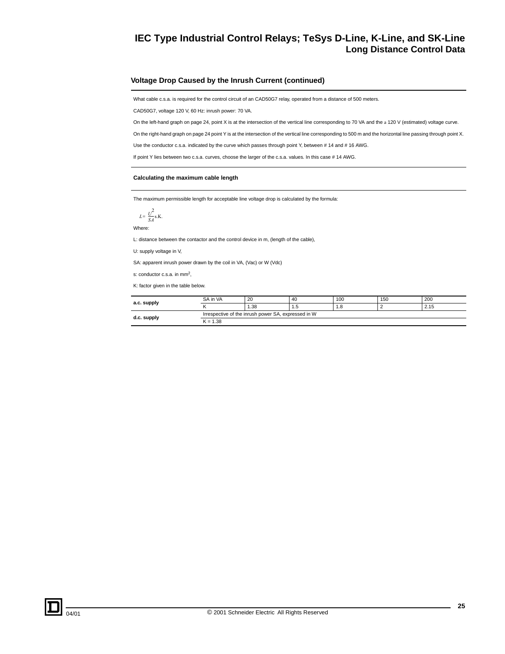### <span id="page-24-0"></span>**Voltage Drop Caused by the Inrush Current (continued)**

What cable c.s.a. is required for the control circuit of an CAD50G7 relay, operated from a distance of 500 meters.

CAD50G7, voltage 120 V, 60 Hz: inrush power: 70 VA.

On the left-hand graph on page [24](#page-23-1), point X is at the intersection of the vertical line corresponding to 70 VA and the a 120 V (estimated) voltage curve.

On the right-hand graph on page [24](#page-23-1) point Y is at the intersection of the vertical line corresponding to 500 m and the horizontal line passing through point X.

Use the conductor c.s.a. indicated by the curve which passes through point Y, between # 14 and # 16 AWG.

If point Y lies between two c.s.a. curves, choose the larger of the c.s.a. values. In this case # 14 AWG.

#### **Calculating the maximum cable length**

The maximum permissible length for acceptable line voltage drop is calculated by the formula:

$$
L = \frac{U^2}{SA} \text{s.K.}
$$

Where:

L: distance between the contactor and the control device in m, (length of the cable),

U: supply voltage in V,

SA: apparent inrush power drawn by the coil in VA, (Vac) or W (Vdc)

s: conductor c.s.a. in mm2,

K: factor given in the table below.

| a.c. supply | SA in VA   | 20                                                  | 40   | 100 | 150 | 200  |
|-------------|------------|-----------------------------------------------------|------|-----|-----|------|
|             |            | . .38                                               | د. ۱ | 1.8 |     | 2.15 |
| d.c. supply |            | Irrespective of the inrush power SA, expressed in W |      |     |     |      |
|             | $K = 1.38$ |                                                     |      |     |     |      |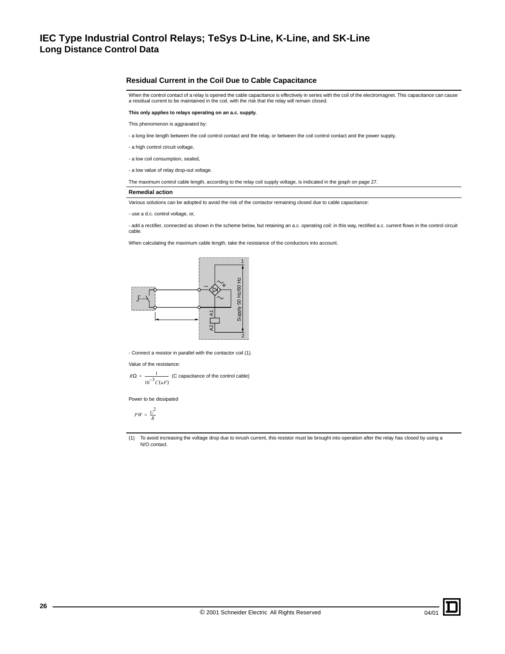### **Residual Current in the Coil Due to Cable Capacitance**

When the control contact of a relay is opened the cable capacitance is effectively in series with the coil of the electromagnet. This capacitance can cause a residual current to be maintained in the coil, with the risk that the relay will remain closed.

**This only applies to relays operating on an a.c. supply.**

This phenomenon is aggravated by:

- a long line length between the coil control contact and the relay, or between the coil control contact and the power supply,

- a high control circuit voltage,
- a low coil consumption, sealed,

- a low value of relay drop-out voltage.

The maximum control cable length, according to the relay coil supply voltage, is indicated in the graph on page [27.](#page-26-0)

#### **Remedial action**

Various solutions can be adopted to avoid the risk of the contactor remaining closed due to cable capacitance:

- use a d.c. control voltage, or,

- add a rectifier, connected as shown in the scheme below, but retaining an a.c. operating coil: in this way, rectified a.c. current flows in the control circuit cable.

When calculating the maximum cable length, take the resistance of the conductors into account.



- Connect a resistor in parallel with the contactor coil (1).

Value of the resistance:

 $R\Omega = \frac{1}{2}$  (C capacitance of the control cable)  $10^{-3} C(uF)$ 

Power to be dissipated

$$
PW=\frac{U^2}{R}
$$

(1) To avoid increasing the voltage drop due to inrush current, this resistor must be brought into operation after the relay has closed by using a N/O contact.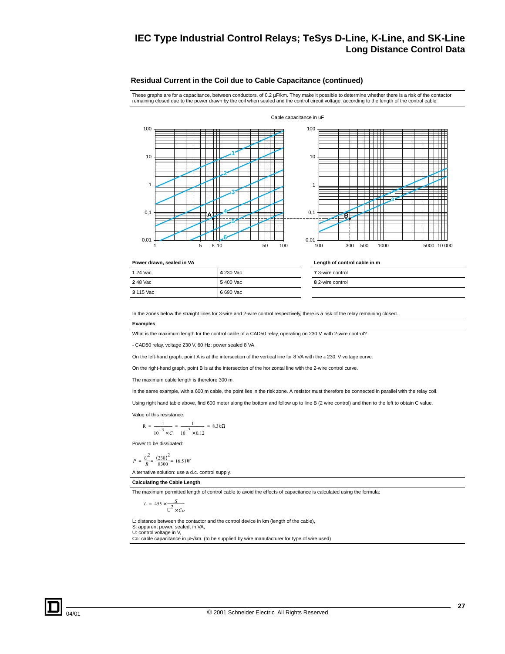### <span id="page-26-0"></span>**Residual Current in the Coil due to Cable Capacitance (continued)**

These graphs are for a capacitance, between conductors, of 0.2 µF/km. They make it possible to determine whether there is a risk of the contactor remaining closed due to the power drawn by the coil when sealed and the control circuit voltage, according to the length of the control cable.

Cable capacitance in uF





#### **Power drawn, sealed in VA** Length of control cable in m

| 1 24 Vac  | 4 230 Vac |
|-----------|-----------|
| 248 Vac   | 5400 Vac  |
| 3 115 Vac | 6 690 Vac |

# **7** 3-wire control **8** 2-wire control

In the zones below the straight lines for 3-wire and 2-wire control respectively, there is a risk of the relay remaining closed.

#### **Examples**

What is the maximum length for the control cable of a CAD50 relay, operating on 230 V, with 2-wire control?

- CAD50 relay, voltage 230 V, 60 Hz: power sealed 8 VA.

On the left-hand graph, point A is at the intersection of the vertical line for 8 VA with the a 230 V voltage curve.

On the right-hand graph, point B is at the intersection of the horizontal line with the 2-wire control curve.

The maximum cable length is therefore 300 m.

In the same example, with a 600 m cable, the point lies in the risk zone. A resistor must therefore be connected in parallel with the relay coil.

Using right hand table above, find 600 meter along the bottom and follow up to line B (2 wire control) and then to the left to obtain C value.

Value of this resistance:

$$
R = \frac{1}{10^{-3} \times C} = \frac{1}{10^{-3} \times 0.12} = 8.3 k\Omega
$$

Power to be dissipated:

$$
P = \frac{U^2}{R} = \frac{(230)^2}{8300} = (6.5)W
$$

Alternative solution: use a d.c. control supply.

#### **Calculating the Cable Length**

The maximum permitted length of control cable to avoid the effects of capacitance is calculated using the formula:

$$
L = 455 \times \frac{S}{U^2 \times Co}
$$

L: distance between the contactor and the control device in km (length of the cable),

S: apparent power, sealed, in VA, U: control voltage in V,

Co: cable capacitance in µF/km. (to be supplied by wire manufacturer for type of wire used)